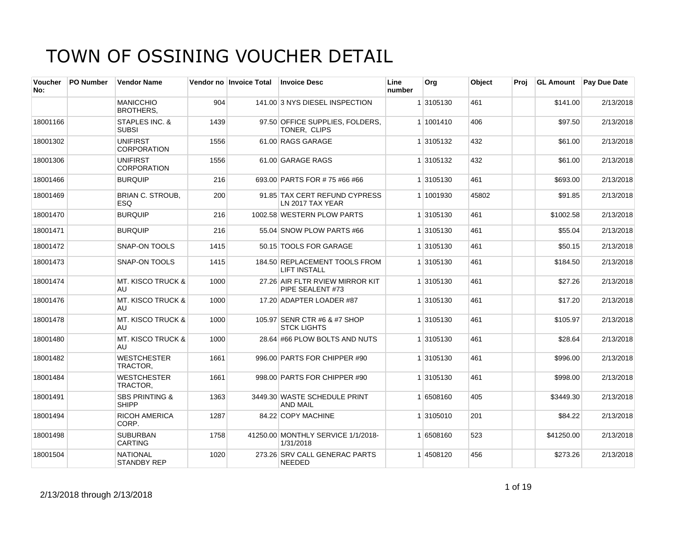| <b>Voucher</b><br>No: | <b>PO Number</b> | <b>Vendor Name</b>                        |      | Vendor no Invoice Total | <b>Invoice Desc</b>                                  | Line<br>number | Org       | Object | Proi |            | <b>GL Amount</b> Pay Due Date |
|-----------------------|------------------|-------------------------------------------|------|-------------------------|------------------------------------------------------|----------------|-----------|--------|------|------------|-------------------------------|
|                       |                  | <b>MANICCHIO</b><br><b>BROTHERS,</b>      | 904  |                         | 141.00 3 NYS DIESEL INSPECTION                       |                | 1 3105130 | 461    |      | \$141.00   | 2/13/2018                     |
| 18001166              |                  | STAPLES INC. &<br><b>SUBSI</b>            | 1439 |                         | 97.50 OFFICE SUPPLIES, FOLDERS,<br>TONER, CLIPS      |                | 1 1001410 | 406    |      | \$97.50    | 2/13/2018                     |
| 18001302              |                  | <b>UNIFIRST</b><br><b>CORPORATION</b>     | 1556 |                         | 61.00 RAGS GARAGE                                    |                | 1 3105132 | 432    |      | \$61.00    | 2/13/2018                     |
| 18001306              |                  | <b>UNIFIRST</b><br><b>CORPORATION</b>     | 1556 |                         | 61.00 GARAGE RAGS                                    |                | 1 3105132 | 432    |      | \$61.00    | 2/13/2018                     |
| 18001466              |                  | <b>BURQUIP</b>                            | 216  |                         | 693.00 PARTS FOR #75 #66 #66                         |                | 1 3105130 | 461    |      | \$693.00   | 2/13/2018                     |
| 18001469              |                  | <b>BRIAN C. STROUB.</b><br><b>ESQ</b>     | 200  |                         | 91.85 TAX CERT REFUND CYPRESS<br>LN 2017 TAX YEAR    |                | 1 1001930 | 45802  |      | \$91.85    | 2/13/2018                     |
| 18001470              |                  | <b>BURQUIP</b>                            | 216  |                         | 1002.58 WESTERN PLOW PARTS                           |                | 1 3105130 | 461    |      | \$1002.58  | 2/13/2018                     |
| 18001471              |                  | <b>BURQUIP</b>                            | 216  |                         | 55.04 SNOW PLOW PARTS #66                            |                | 1 3105130 | 461    |      | \$55.04    | 2/13/2018                     |
| 18001472              |                  | SNAP-ON TOOLS                             | 1415 |                         | 50.15 TOOLS FOR GARAGE                               |                | 1 3105130 | 461    |      | \$50.15    | 2/13/2018                     |
| 18001473              |                  | <b>SNAP-ON TOOLS</b>                      | 1415 |                         | 184.50 REPLACEMENT TOOLS FROM<br><b>LIFT INSTALL</b> |                | 1 3105130 | 461    |      | \$184.50   | 2/13/2018                     |
| 18001474              |                  | <b>MT. KISCO TRUCK &amp;</b><br>AU        | 1000 |                         | 27.26 AIR FLTR RVIEW MIRROR KIT<br>PIPE SEALENT #73  |                | 1 3105130 | 461    |      | \$27.26    | 2/13/2018                     |
| 18001476              |                  | <b>MT. KISCO TRUCK &amp;</b><br>AU        | 1000 |                         | 17.20 ADAPTER LOADER #87                             |                | 1 3105130 | 461    |      | \$17.20    | 2/13/2018                     |
| 18001478              |                  | <b>MT. KISCO TRUCK &amp;</b><br>AU        | 1000 |                         | 105.97 SENR CTR #6 & #7 SHOP<br><b>STCK LIGHTS</b>   |                | 1 3105130 | 461    |      | \$105.97   | 2/13/2018                     |
| 18001480              |                  | <b>MT. KISCO TRUCK &amp;</b><br>AU        | 1000 |                         | 28.64 #66 PLOW BOLTS AND NUTS                        |                | 1 3105130 | 461    |      | \$28.64    | 2/13/2018                     |
| 18001482              |                  | <b>WESTCHESTER</b><br>TRACTOR,            | 1661 |                         | 996.00 PARTS FOR CHIPPER #90                         |                | 1 3105130 | 461    |      | \$996.00   | 2/13/2018                     |
| 18001484              |                  | <b>WESTCHESTER</b><br>TRACTOR,            | 1661 |                         | 998.00 PARTS FOR CHIPPER #90                         |                | 1 3105130 | 461    |      | \$998.00   | 2/13/2018                     |
| 18001491              |                  | <b>SBS PRINTING &amp;</b><br><b>SHIPP</b> | 1363 |                         | 3449.30 WASTE SCHEDULE PRINT<br><b>AND MAIL</b>      |                | 1 6508160 | 405    |      | \$3449.30  | 2/13/2018                     |
| 18001494              |                  | <b>RICOH AMERICA</b><br>CORP.             | 1287 |                         | 84.22 COPY MACHINE                                   |                | 1 3105010 | 201    |      | \$84.22    | 2/13/2018                     |
| 18001498              |                  | <b>SUBURBAN</b><br><b>CARTING</b>         | 1758 |                         | 41250.00 MONTHLY SERVICE 1/1/2018-<br>1/31/2018      |                | 1 6508160 | 523    |      | \$41250.00 | 2/13/2018                     |
| 18001504              |                  | <b>NATIONAL</b><br><b>STANDBY REP</b>     | 1020 |                         | 273.26 SRV CALL GENERAC PARTS<br><b>NEEDED</b>       |                | 14508120  | 456    |      | \$273.26   | 2/13/2018                     |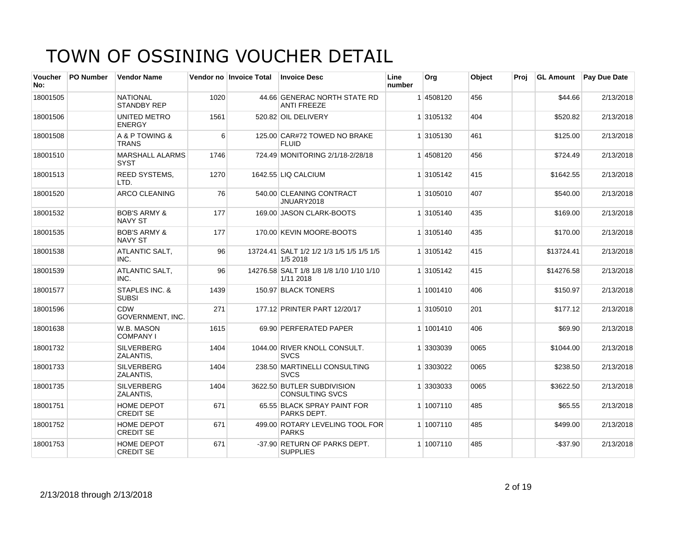| Voucher<br>No: | <b>PO Number</b> | <b>Vendor Name</b>                        |      | Vendor no Invoice Total | <b>Invoice Desc</b>                                   | Line<br>number | Org       | Object | Proi | <b>GL Amount</b> | <b>Pay Due Date</b> |
|----------------|------------------|-------------------------------------------|------|-------------------------|-------------------------------------------------------|----------------|-----------|--------|------|------------------|---------------------|
| 18001505       |                  | <b>NATIONAL</b><br><b>STANDBY REP</b>     | 1020 |                         | 44.66 GENERAC NORTH STATE RD<br><b>ANTI FREEZE</b>    |                | 14508120  | 456    |      | \$44.66          | 2/13/2018           |
| 18001506       |                  | UNITED METRO<br><b>ENERGY</b>             | 1561 |                         | 520.82 OIL DELIVERY                                   |                | 1 3105132 | 404    |      | \$520.82         | 2/13/2018           |
| 18001508       |                  | A & P TOWING &<br><b>TRANS</b>            | 6    |                         | 125.00 CAR#72 TOWED NO BRAKE<br><b>FLUID</b>          |                | 1 3105130 | 461    |      | \$125.00         | 2/13/2018           |
| 18001510       |                  | MARSHALL ALARMS<br><b>SYST</b>            | 1746 |                         | 724.49 MONITORING 2/1/18-2/28/18                      |                | 14508120  | 456    |      | \$724.49         | 2/13/2018           |
| 18001513       |                  | <b>REED SYSTEMS,</b><br>LTD.              | 1270 |                         | 1642.55 LIQ CALCIUM                                   |                | 1 3105142 | 415    |      | \$1642.55        | 2/13/2018           |
| 18001520       |                  | ARCO CLEANING                             | 76   |                         | 540.00 CLEANING CONTRACT<br>JNUARY2018                |                | 1 3105010 | 407    |      | \$540.00         | 2/13/2018           |
| 18001532       |                  | <b>BOB'S ARMY &amp;</b><br><b>NAVY ST</b> | 177  |                         | 169.00 JASON CLARK-BOOTS                              |                | 1 3105140 | 435    |      | \$169.00         | 2/13/2018           |
| 18001535       |                  | <b>BOB'S ARMY &amp;</b><br><b>NAVY ST</b> | 177  |                         | 170.00 KEVIN MOORE-BOOTS                              |                | 1 3105140 | 435    |      | \$170.00         | 2/13/2018           |
| 18001538       |                  | <b>ATLANTIC SALT.</b><br>INC.             | 96   |                         | 13724.41 SALT 1/2 1/2 1/3 1/5 1/5 1/5 1/5<br>1/5 2018 |                | 1 3105142 | 415    |      | \$13724.41       | 2/13/2018           |
| 18001539       |                  | <b>ATLANTIC SALT.</b><br>INC.             | 96   |                         | 14276.58 SALT 1/8 1/8 1/8 1/10 1/10 1/10<br>1/11 2018 |                | 1 3105142 | 415    |      | \$14276.58       | 2/13/2018           |
| 18001577       |                  | <b>STAPLES INC. &amp;</b><br><b>SUBSI</b> | 1439 |                         | 150.97 BLACK TONERS                                   |                | 1 1001410 | 406    |      | \$150.97         | 2/13/2018           |
| 18001596       |                  | <b>CDW</b><br><b>GOVERNMENT, INC.</b>     | 271  |                         | 177.12 PRINTER PART 12/20/17                          |                | 1 3105010 | 201    |      | \$177.12         | 2/13/2018           |
| 18001638       |                  | W.B. MASON<br><b>COMPANY I</b>            | 1615 |                         | 69.90 PERFERATED PAPER                                |                | 1 1001410 | 406    |      | \$69.90          | 2/13/2018           |
| 18001732       |                  | <b>SILVERBERG</b><br>ZALANTIS,            | 1404 |                         | 1044.00 RIVER KNOLL CONSULT.<br><b>SVCS</b>           |                | 1 3303039 | 0065   |      | \$1044.00        | 2/13/2018           |
| 18001733       |                  | <b>SILVERBERG</b><br>ZALANTIS.            | 1404 |                         | 238.50 MARTINELLI CONSULTING<br><b>SVCS</b>           |                | 1 3303022 | 0065   |      | \$238.50         | 2/13/2018           |
| 18001735       |                  | <b>SILVERBERG</b><br>ZALANTIS.            | 1404 |                         | 3622.50 BUTLER SUBDIVISION<br><b>CONSULTING SVCS</b>  |                | 1 3303033 | 0065   |      | \$3622.50        | 2/13/2018           |
| 18001751       |                  | <b>HOME DEPOT</b><br><b>CREDIT SE</b>     | 671  |                         | 65.55 BLACK SPRAY PAINT FOR<br>PARKS DEPT.            |                | 1 1007110 | 485    |      | \$65.55          | 2/13/2018           |
| 18001752       |                  | HOME DEPOT<br><b>CREDIT SE</b>            | 671  |                         | 499.00 ROTARY LEVELING TOOL FOR<br><b>PARKS</b>       |                | 1 1007110 | 485    |      | \$499.00         | 2/13/2018           |
| 18001753       |                  | HOME DEPOT<br><b>CREDIT SE</b>            | 671  |                         | -37.90 RETURN OF PARKS DEPT.<br><b>SUPPLIES</b>       |                | 1 1007110 | 485    |      | $-$37.90$        | 2/13/2018           |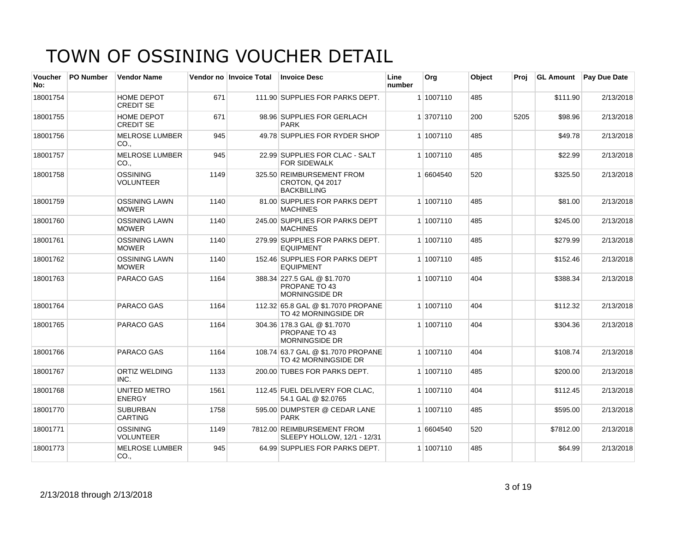| Voucher<br>No: | <b>PO Number</b> | <b>Vendor Name</b>                       |      | Vendor no Invoice Total | <b>Invoice Desc</b>                                                   | Line<br>number | Org       | Object | Proi |           | <b>GL Amount</b> Pay Due Date |
|----------------|------------------|------------------------------------------|------|-------------------------|-----------------------------------------------------------------------|----------------|-----------|--------|------|-----------|-------------------------------|
| 18001754       |                  | HOME DEPOT<br><b>CREDIT SE</b>           | 671  |                         | 111.90 SUPPLIES FOR PARKS DEPT.                                       |                | 1 1007110 | 485    |      | \$111.90  | 2/13/2018                     |
| 18001755       |                  | HOME DEPOT<br><b>CREDIT SE</b>           | 671  |                         | 98.96 SUPPLIES FOR GERLACH<br><b>PARK</b>                             |                | 1 3707110 | 200    | 5205 | \$98.96   | 2/13/2018                     |
| 18001756       |                  | <b>MELROSE LUMBER</b><br>CO.,            | 945  |                         | 49.78 SUPPLIES FOR RYDER SHOP                                         |                | 1 1007110 | 485    |      | \$49.78   | 2/13/2018                     |
| 18001757       |                  | <b>MELROSE LUMBER</b><br>CO.,            | 945  |                         | 22.99 SUPPLIES FOR CLAC - SALT<br>FOR SIDEWALK                        |                | 1 1007110 | 485    |      | \$22.99   | 2/13/2018                     |
| 18001758       |                  | <b>OSSINING</b><br><b>VOLUNTEER</b>      | 1149 |                         | 325.50 REIMBURSEMENT FROM<br>CROTON, Q4 2017<br><b>BACKBILLING</b>    |                | 1 6604540 | 520    |      | \$325.50  | 2/13/2018                     |
| 18001759       |                  | <b>OSSINING LAWN</b><br><b>MOWER</b>     | 1140 |                         | 81.00 SUPPLIES FOR PARKS DEPT<br><b>MACHINES</b>                      |                | 1 1007110 | 485    |      | \$81.00   | 2/13/2018                     |
| 18001760       |                  | <b>OSSINING LAWN</b><br><b>MOWER</b>     | 1140 |                         | 245.00 SUPPLIES FOR PARKS DEPT<br><b>MACHINES</b>                     |                | 1 1007110 | 485    |      | \$245.00  | 2/13/2018                     |
| 18001761       |                  | <b>OSSINING LAWN</b><br><b>MOWER</b>     | 1140 |                         | 279.99 SUPPLIES FOR PARKS DEPT.<br><b>EQUIPMENT</b>                   |                | 1 1007110 | 485    |      | \$279.99  | 2/13/2018                     |
| 18001762       |                  | <b>OSSINING LAWN</b><br><b>MOWER</b>     | 1140 |                         | 152.46 SUPPLIES FOR PARKS DEPT<br><b>EQUIPMENT</b>                    |                | 1 1007110 | 485    |      | \$152.46  | 2/13/2018                     |
| 18001763       |                  | PARACO GAS                               | 1164 |                         | 388.34 227.5 GAL @ \$1.7070<br>PROPANE TO 43<br><b>MORNINGSIDE DR</b> |                | 1 1007110 | 404    |      | \$388.34  | 2/13/2018                     |
| 18001764       |                  | PARACO GAS                               | 1164 |                         | 112.32 65.8 GAL @ \$1.7070 PROPANE<br>TO 42 MORNINGSIDE DR            |                | 1 1007110 | 404    |      | \$112.32  | 2/13/2018                     |
| 18001765       |                  | PARACO GAS                               | 1164 |                         | 304.36 178.3 GAL @ \$1.7070<br>PROPANE TO 43<br><b>MORNINGSIDE DR</b> |                | 1 1007110 | 404    |      | \$304.36  | 2/13/2018                     |
| 18001766       |                  | PARACO GAS                               | 1164 |                         | 108.74 63.7 GAL @ \$1.7070 PROPANE<br>TO 42 MORNINGSIDE DR            |                | 1 1007110 | 404    |      | \$108.74  | 2/13/2018                     |
| 18001767       |                  | <b>ORTIZ WELDING</b><br>INC.             | 1133 |                         | 200.00 TUBES FOR PARKS DEPT.                                          |                | 1 1007110 | 485    |      | \$200.00  | 2/13/2018                     |
| 18001768       |                  | UNITED METRO<br><b>ENERGY</b>            | 1561 |                         | 112.45 FUEL DELIVERY FOR CLAC.<br>54.1 GAL @ \$2.0765                 |                | 1 1007110 | 404    |      | \$112.45  | 2/13/2018                     |
| 18001770       |                  | <b>SUBURBAN</b><br><b>CARTING</b>        | 1758 |                         | 595.00 DUMPSTER @ CEDAR LANE<br><b>PARK</b>                           |                | 1 1007110 | 485    |      | \$595.00  | 2/13/2018                     |
| 18001771       |                  | <b>OSSINING</b><br><b>VOLUNTEER</b>      | 1149 |                         | 7812.00 REIMBURSEMENT FROM<br>SLEEPY HOLLOW, 12/1 - 12/31             |                | 1 6604540 | 520    |      | \$7812.00 | 2/13/2018                     |
| 18001773       |                  | <b>MELROSE LUMBER</b><br>CO <sub>1</sub> | 945  |                         | 64.99 SUPPLIES FOR PARKS DEPT.                                        |                | 1 1007110 | 485    |      | \$64.99   | 2/13/2018                     |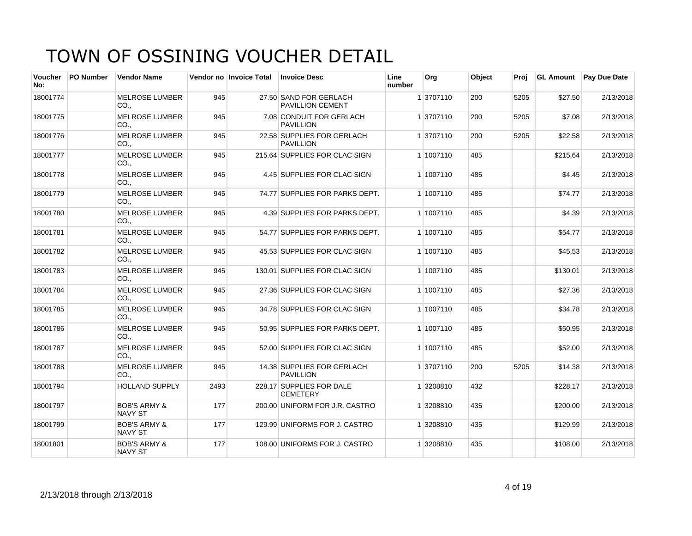| <b>Voucher</b><br>No: | <b>PO Number</b> | <b>Vendor Name</b>                        |      | Vendor no Invoice Total | <b>Invoice Desc</b>                               | Line<br>number | Org       | Object | Proi | <b>GL Amount</b> | <b>Pay Due Date</b> |
|-----------------------|------------------|-------------------------------------------|------|-------------------------|---------------------------------------------------|----------------|-----------|--------|------|------------------|---------------------|
| 18001774              |                  | <b>MELROSE LUMBER</b><br>CO.,             | 945  |                         | 27.50 SAND FOR GERLACH<br><b>PAVILLION CEMENT</b> |                | 1 3707110 | 200    | 5205 | \$27.50          | 2/13/2018           |
| 18001775              |                  | <b>MELROSE LUMBER</b><br>CO.              | 945  |                         | 7.08 CONDUIT FOR GERLACH<br><b>PAVILLION</b>      |                | 1 3707110 | 200    | 5205 | \$7.08           | 2/13/2018           |
| 18001776              |                  | <b>MELROSE LUMBER</b><br>CO.,             | 945  |                         | 22.58 SUPPLIES FOR GERLACH<br><b>PAVILLION</b>    |                | 1 3707110 | 200    | 5205 | \$22.58          | 2/13/2018           |
| 18001777              |                  | <b>MELROSE LUMBER</b><br>CO.,             | 945  |                         | 215.64 SUPPLIES FOR CLAC SIGN                     |                | 1 1007110 | 485    |      | \$215.64         | 2/13/2018           |
| 18001778              |                  | <b>MELROSE LUMBER</b><br>CO.              | 945  |                         | 4.45 SUPPLIES FOR CLAC SIGN                       |                | 1 1007110 | 485    |      | \$4.45           | 2/13/2018           |
| 18001779              |                  | <b>MELROSE LUMBER</b><br>CO.,             | 945  |                         | 74.77 SUPPLIES FOR PARKS DEPT.                    |                | 1 1007110 | 485    |      | \$74.77          | 2/13/2018           |
| 18001780              |                  | <b>MELROSE LUMBER</b><br>CO.,             | 945  |                         | 4.39 SUPPLIES FOR PARKS DEPT.                     |                | 1 1007110 | 485    |      | \$4.39           | 2/13/2018           |
| 18001781              |                  | <b>MELROSE LUMBER</b><br>CO.              | 945  |                         | 54.77 SUPPLIES FOR PARKS DEPT.                    |                | 1 1007110 | 485    |      | \$54.77          | 2/13/2018           |
| 18001782              |                  | <b>MELROSE LUMBER</b><br>CO.,             | 945  |                         | 45.53 SUPPLIES FOR CLAC SIGN                      |                | 1 1007110 | 485    |      | \$45.53          | 2/13/2018           |
| 18001783              |                  | <b>MELROSE LUMBER</b><br>CO.,             | 945  |                         | 130.01 SUPPLIES FOR CLAC SIGN                     |                | 1 1007110 | 485    |      | \$130.01         | 2/13/2018           |
| 18001784              |                  | <b>MELROSE LUMBER</b><br>CO.              | 945  |                         | 27.36 SUPPLIES FOR CLAC SIGN                      |                | 1 1007110 | 485    |      | \$27.36          | 2/13/2018           |
| 18001785              |                  | <b>MELROSE LUMBER</b><br>CO.,             | 945  |                         | 34.78 SUPPLIES FOR CLAC SIGN                      |                | 1 1007110 | 485    |      | \$34.78          | 2/13/2018           |
| 18001786              |                  | <b>MELROSE LUMBER</b><br>CO.,             | 945  |                         | 50.95 SUPPLIES FOR PARKS DEPT.                    |                | 1 1007110 | 485    |      | \$50.95          | 2/13/2018           |
| 18001787              |                  | <b>MELROSE LUMBER</b><br>CO.,             | 945  |                         | 52.00 SUPPLIES FOR CLAC SIGN                      |                | 1 1007110 | 485    |      | \$52.00          | 2/13/2018           |
| 18001788              |                  | <b>MELROSE LUMBER</b><br>CO.              | 945  |                         | 14.38 SUPPLIES FOR GERLACH<br><b>PAVILLION</b>    |                | 1 3707110 | 200    | 5205 | \$14.38          | 2/13/2018           |
| 18001794              |                  | <b>HOLLAND SUPPLY</b>                     | 2493 |                         | 228.17 SUPPLIES FOR DALE<br><b>CEMETERY</b>       |                | 1 3208810 | 432    |      | \$228.17         | 2/13/2018           |
| 18001797              |                  | <b>BOB'S ARMY &amp;</b><br><b>NAVY ST</b> | 177  |                         | 200.00 UNIFORM FOR J.R. CASTRO                    |                | 1 3208810 | 435    |      | \$200.00         | 2/13/2018           |
| 18001799              |                  | <b>BOB'S ARMY &amp;</b><br>NAVY ST        | 177  |                         | 129.99 UNIFORMS FOR J. CASTRO                     |                | 1 3208810 | 435    |      | \$129.99         | 2/13/2018           |
| 18001801              |                  | <b>BOB'S ARMY &amp;</b><br><b>NAVY ST</b> | 177  |                         | 108.00 UNIFORMS FOR J. CASTRO                     |                | 1 3208810 | 435    |      | \$108.00         | 2/13/2018           |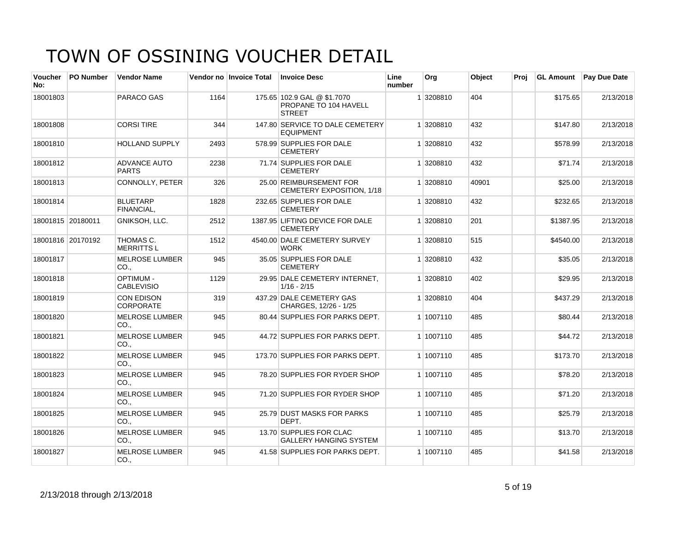| <b>Voucher</b><br>No: | <b>PO Number</b>  | <b>Vendor Name</b>                    |      | Vendor no Invoice Total | <b>Invoice Desc</b>                                                   | Line<br>number | Org       | Object | Proj | <b>GL Amount</b> | <b>Pay Due Date</b> |
|-----------------------|-------------------|---------------------------------------|------|-------------------------|-----------------------------------------------------------------------|----------------|-----------|--------|------|------------------|---------------------|
| 18001803              |                   | PARACO GAS                            | 1164 |                         | 175.65 102.9 GAL @ \$1.7070<br>PROPANE TO 104 HAVELL<br><b>STREET</b> |                | 1 3208810 | 404    |      | \$175.65         | 2/13/2018           |
| 18001808              |                   | <b>CORSI TIRE</b>                     | 344  |                         | 147.80 SERVICE TO DALE CEMETERY<br><b>EQUIPMENT</b>                   |                | 1 3208810 | 432    |      | \$147.80         | 2/13/2018           |
| 18001810              |                   | <b>HOLLAND SUPPLY</b>                 | 2493 |                         | 578.99 SUPPLIES FOR DALE<br><b>CEMETERY</b>                           |                | 1 3208810 | 432    |      | \$578.99         | 2/13/2018           |
| 18001812              |                   | <b>ADVANCE AUTO</b><br><b>PARTS</b>   | 2238 |                         | 71.74 SUPPLIES FOR DALE<br><b>CEMETERY</b>                            |                | 1 3208810 | 432    |      | \$71.74          | 2/13/2018           |
| 18001813              |                   | CONNOLLY, PETER                       | 326  |                         | 25.00 REIMBURSEMENT FOR<br>CEMETERY EXPOSITION, 1/18                  |                | 1 3208810 | 40901  |      | \$25.00          | 2/13/2018           |
| 18001814              |                   | <b>BLUETARP</b><br>FINANCIAL.         | 1828 |                         | 232.65 SUPPLIES FOR DALE<br><b>CEMETERY</b>                           |                | 1 3208810 | 432    |      | \$232.65         | 2/13/2018           |
|                       | 18001815 20180011 | GNIKSOH, LLC.                         | 2512 |                         | 1387.95 LIFTING DEVICE FOR DALE<br><b>CEMETERY</b>                    |                | 1 3208810 | 201    |      | \$1387.95        | 2/13/2018           |
|                       | 18001816 20170192 | THOMAS C.<br><b>MERRITTSL</b>         | 1512 |                         | 4540.00 DALE CEMETERY SURVEY<br><b>WORK</b>                           |                | 1 3208810 | 515    |      | \$4540.00        | 2/13/2018           |
| 18001817              |                   | <b>MELROSE LUMBER</b><br>CO.,         | 945  |                         | 35.05 SUPPLIES FOR DALE<br><b>CEMETERY</b>                            |                | 1 3208810 | 432    |      | \$35.05          | 2/13/2018           |
| 18001818              |                   | <b>OPTIMUM -</b><br><b>CABLEVISIO</b> | 1129 |                         | 29.95 DALE CEMETERY INTERNET,<br>$1/16 - 2/15$                        |                | 1 3208810 | 402    |      | \$29.95          | 2/13/2018           |
| 18001819              |                   | <b>CON EDISON</b><br><b>CORPORATE</b> | 319  |                         | 437.29 DALE CEMETERY GAS<br>CHARGES, 12/26 - 1/25                     |                | 1 3208810 | 404    |      | \$437.29         | 2/13/2018           |
| 18001820              |                   | <b>MELROSE LUMBER</b><br>CO.,         | 945  |                         | 80.44 SUPPLIES FOR PARKS DEPT.                                        |                | 1 1007110 | 485    |      | \$80.44          | 2/13/2018           |
| 18001821              |                   | <b>MELROSE LUMBER</b><br>CO.,         | 945  |                         | 44.72 SUPPLIES FOR PARKS DEPT.                                        |                | 1 1007110 | 485    |      | \$44.72          | 2/13/2018           |
| 18001822              |                   | <b>MELROSE LUMBER</b><br>CO.          | 945  |                         | 173.70 SUPPLIES FOR PARKS DEPT.                                       |                | 1 1007110 | 485    |      | \$173.70         | 2/13/2018           |
| 18001823              |                   | <b>MELROSE LUMBER</b><br>CO.          | 945  |                         | 78.20 SUPPLIES FOR RYDER SHOP                                         |                | 1 1007110 | 485    |      | \$78.20          | 2/13/2018           |
| 18001824              |                   | <b>MELROSE LUMBER</b><br>CO.,         | 945  |                         | 71.20 SUPPLIES FOR RYDER SHOP                                         |                | 1 1007110 | 485    |      | \$71.20          | 2/13/2018           |
| 18001825              |                   | <b>MELROSE LUMBER</b><br>CO.          | 945  |                         | 25.79 DUST MASKS FOR PARKS<br>DEPT.                                   |                | 1 1007110 | 485    |      | \$25.79          | 2/13/2018           |
| 18001826              |                   | <b>MELROSE LUMBER</b><br>CO.          | 945  |                         | 13.70 SUPPLIES FOR CLAC<br><b>GALLERY HANGING SYSTEM</b>              |                | 1 1007110 | 485    |      | \$13.70          | 2/13/2018           |
| 18001827              |                   | <b>MELROSE LUMBER</b><br>CO.,         | 945  |                         | 41.58 SUPPLIES FOR PARKS DEPT.                                        |                | 1 1007110 | 485    |      | \$41.58          | 2/13/2018           |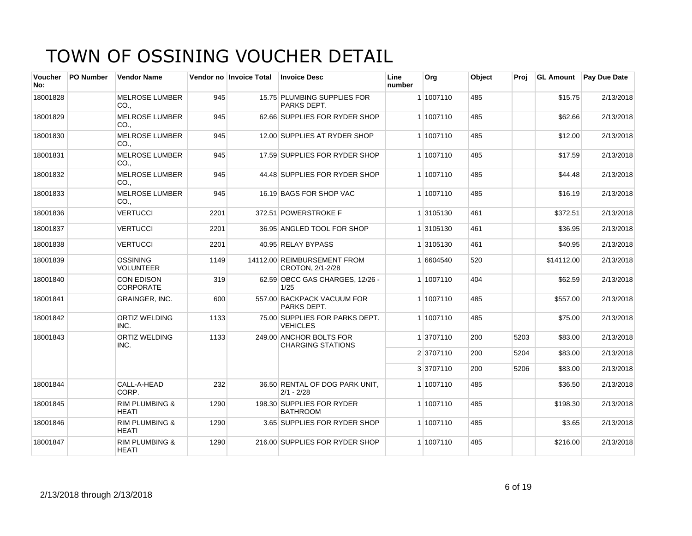| <b>Voucher</b><br>No: | <b>PO Number</b> | <b>Vendor Name</b>                        |      | Vendor no Invoice Total | <b>Invoice Desc</b>                                 | Line<br>number | Org       | Object | Proj | <b>GL Amount</b> | Pay Due Date |
|-----------------------|------------------|-------------------------------------------|------|-------------------------|-----------------------------------------------------|----------------|-----------|--------|------|------------------|--------------|
| 18001828              |                  | <b>MELROSE LUMBER</b><br>CO.,             | 945  |                         | 15.75 PLUMBING SUPPLIES FOR<br>PARKS DEPT.          |                | 1 1007110 | 485    |      | \$15.75          | 2/13/2018    |
| 18001829              |                  | <b>MELROSE LUMBER</b><br>CO.,             | 945  |                         | 62.66 SUPPLIES FOR RYDER SHOP                       |                | 1 1007110 | 485    |      | \$62.66          | 2/13/2018    |
| 18001830              |                  | <b>MELROSE LUMBER</b><br>CO.,             | 945  |                         | 12.00 SUPPLIES AT RYDER SHOP                        |                | 1 1007110 | 485    |      | \$12.00          | 2/13/2018    |
| 18001831              |                  | <b>MELROSE LUMBER</b><br>CO.,             | 945  |                         | 17.59 SUPPLIES FOR RYDER SHOP                       |                | 1 1007110 | 485    |      | \$17.59          | 2/13/2018    |
| 18001832              |                  | <b>MELROSE LUMBER</b><br>CO.              | 945  |                         | 44.48 SUPPLIES FOR RYDER SHOP                       |                | 1 1007110 | 485    |      | \$44.48          | 2/13/2018    |
| 18001833              |                  | <b>MELROSE LUMBER</b><br>CO.,             | 945  |                         | 16.19 BAGS FOR SHOP VAC                             |                | 1 1007110 | 485    |      | \$16.19          | 2/13/2018    |
| 18001836              |                  | <b>VERTUCCI</b>                           | 2201 |                         | 372.51 POWERSTROKE F                                |                | 1 3105130 | 461    |      | \$372.51         | 2/13/2018    |
| 18001837              |                  | <b>VERTUCCI</b>                           | 2201 |                         | 36.95 ANGLED TOOL FOR SHOP                          |                | 1 3105130 | 461    |      | \$36.95          | 2/13/2018    |
| 18001838              |                  | <b>VERTUCCI</b>                           | 2201 |                         | 40.95 RELAY BYPASS                                  |                | 1 3105130 | 461    |      | \$40.95          | 2/13/2018    |
| 18001839              |                  | <b>OSSINING</b><br><b>VOLUNTEER</b>       | 1149 |                         | 14112.00 REIMBURSEMENT FROM<br>CROTON, 2/1-2/28     |                | 1 6604540 | 520    |      | \$14112.00       | 2/13/2018    |
| 18001840              |                  | <b>CON EDISON</b><br><b>CORPORATE</b>     | 319  |                         | 62.59 OBCC GAS CHARGES, 12/26 -<br>1/25             |                | 1 1007110 | 404    |      | \$62.59          | 2/13/2018    |
| 18001841              |                  | GRAINGER, INC.                            | 600  |                         | 557.00 BACKPACK VACUUM FOR<br>PARKS DEPT.           |                | 1 1007110 | 485    |      | \$557.00         | 2/13/2018    |
| 18001842              |                  | <b>ORTIZ WELDING</b><br>INC.              | 1133 |                         | 75.00 SUPPLIES FOR PARKS DEPT.<br><b>VEHICLES</b>   |                | 1 1007110 | 485    |      | \$75.00          | 2/13/2018    |
| 18001843              |                  | <b>ORTIZ WELDING</b><br>INC.              | 1133 |                         | 249.00 ANCHOR BOLTS FOR<br><b>CHARGING STATIONS</b> |                | 1 3707110 | 200    | 5203 | \$83.00          | 2/13/2018    |
|                       |                  |                                           |      |                         |                                                     |                | 2 3707110 | 200    | 5204 | \$83.00          | 2/13/2018    |
|                       |                  |                                           |      |                         |                                                     |                | 3 3707110 | 200    | 5206 | \$83.00          | 2/13/2018    |
| 18001844              |                  | CALL-A-HEAD<br>CORP.                      | 232  |                         | 36.50 RENTAL OF DOG PARK UNIT,<br>$2/1 - 2/28$      |                | 1 1007110 | 485    |      | \$36.50          | 2/13/2018    |
| 18001845              |                  | <b>RIM PLUMBING &amp;</b><br><b>HEATI</b> | 1290 |                         | 198.30 SUPPLIES FOR RYDER<br><b>BATHROOM</b>        |                | 1 1007110 | 485    |      | \$198.30         | 2/13/2018    |
| 18001846              |                  | <b>RIM PLUMBING &amp;</b><br><b>HEATI</b> | 1290 |                         | 3.65 SUPPLIES FOR RYDER SHOP                        |                | 1 1007110 | 485    |      | \$3.65           | 2/13/2018    |
| 18001847              |                  | <b>RIM PLUMBING &amp;</b><br><b>HEATI</b> | 1290 |                         | 216.00 SUPPLIES FOR RYDER SHOP                      |                | 1 1007110 | 485    |      | \$216.00         | 2/13/2018    |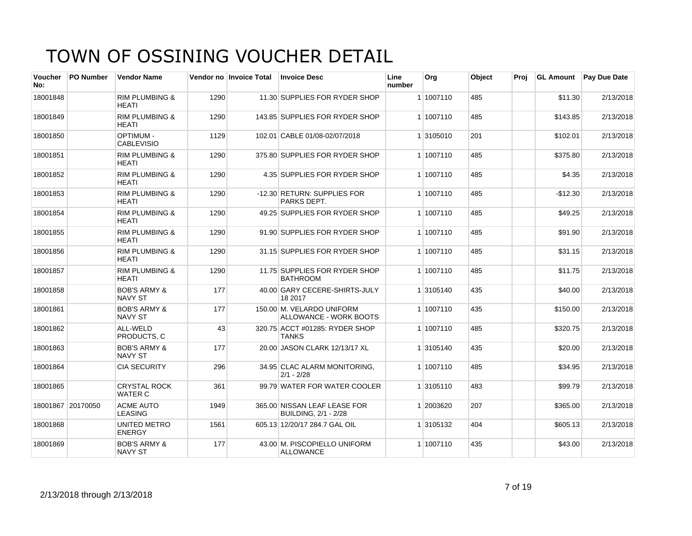| Voucher<br>No: | <b>PO Number</b>  | <b>Vendor Name</b>                        |      | Vendor no Invoice Total | <b>Invoice Desc</b>                                         | Line<br>number | Org       | Object | Proi | <b>GL Amount</b> | <b>Pay Due Date</b> |
|----------------|-------------------|-------------------------------------------|------|-------------------------|-------------------------------------------------------------|----------------|-----------|--------|------|------------------|---------------------|
| 18001848       |                   | <b>RIM PLUMBING &amp;</b><br><b>HEATI</b> | 1290 |                         | 11.30 SUPPLIES FOR RYDER SHOP                               |                | 1 1007110 | 485    |      | \$11.30          | 2/13/2018           |
| 18001849       |                   | <b>RIM PLUMBING &amp;</b><br><b>HEATI</b> | 1290 |                         | 143.85 SUPPLIES FOR RYDER SHOP                              |                | 1 1007110 | 485    |      | \$143.85         | 2/13/2018           |
| 18001850       |                   | <b>OPTIMUM -</b><br><b>CABLEVISIO</b>     | 1129 |                         | 102.01 CABLE 01/08-02/07/2018                               |                | 1 3105010 | 201    |      | \$102.01         | 2/13/2018           |
| 18001851       |                   | <b>RIM PLUMBING &amp;</b><br>HEATI        | 1290 |                         | 375.80 SUPPLIES FOR RYDER SHOP                              |                | 1 1007110 | 485    |      | \$375.80         | 2/13/2018           |
| 18001852       |                   | <b>RIM PLUMBING &amp;</b><br><b>HEATI</b> | 1290 |                         | 4.35 SUPPLIES FOR RYDER SHOP                                |                | 1 1007110 | 485    |      | \$4.35           | 2/13/2018           |
| 18001853       |                   | <b>RIM PLUMBING &amp;</b><br><b>HEATI</b> | 1290 |                         | -12.30 RETURN: SUPPLIES FOR<br>PARKS DEPT.                  |                | 1 1007110 | 485    |      | $-$12.30$        | 2/13/2018           |
| 18001854       |                   | <b>RIM PLUMBING &amp;</b><br><b>HEATI</b> | 1290 |                         | 49.25 SUPPLIES FOR RYDER SHOP                               |                | 1 1007110 | 485    |      | \$49.25          | 2/13/2018           |
| 18001855       |                   | <b>RIM PLUMBING &amp;</b><br><b>HFATI</b> | 1290 |                         | 91.90 SUPPLIES FOR RYDER SHOP                               |                | 1 1007110 | 485    |      | \$91.90          | 2/13/2018           |
| 18001856       |                   | <b>RIM PLUMBING &amp;</b><br><b>HEATI</b> | 1290 |                         | 31.15 SUPPLIES FOR RYDER SHOP                               |                | 1 1007110 | 485    |      | \$31.15          | 2/13/2018           |
| 18001857       |                   | <b>RIM PLUMBING &amp;</b><br><b>HEATI</b> | 1290 |                         | 11.75 SUPPLIES FOR RYDER SHOP<br><b>BATHROOM</b>            |                | 1 1007110 | 485    |      | \$11.75          | 2/13/2018           |
| 18001858       |                   | <b>BOB'S ARMY &amp;</b><br><b>NAVY ST</b> | 177  |                         | 40.00 GARY CECERE-SHIRTS-JULY<br>18 2017                    |                | 1 3105140 | 435    |      | \$40.00          | 2/13/2018           |
| 18001861       |                   | <b>BOB'S ARMY &amp;</b><br><b>NAVY ST</b> | 177  |                         | 150.00 M. VELARDO UNIFORM<br>ALLOWANCE - WORK BOOTS         |                | 1 1007110 | 435    |      | \$150.00         | 2/13/2018           |
| 18001862       |                   | ALL-WELD<br>PRODUCTS. C                   | 43   |                         | 320.75 ACCT #01285: RYDER SHOP<br>TANKS                     |                | 1 1007110 | 485    |      | \$320.75         | 2/13/2018           |
| 18001863       |                   | <b>BOB'S ARMY &amp;</b><br><b>NAVY ST</b> | 177  |                         | 20.00 JASON CLARK 12/13/17 XL                               |                | 1 3105140 | 435    |      | \$20.00          | 2/13/2018           |
| 18001864       |                   | <b>CIA SECURITY</b>                       | 296  |                         | 34.95 CLAC ALARM MONITORING,<br>$2/1 - 2/28$                |                | 1 1007110 | 485    |      | \$34.95          | 2/13/2018           |
| 18001865       |                   | <b>CRYSTAL ROCK</b><br><b>WATER C</b>     | 361  |                         | 99.79 WATER FOR WATER COOLER                                |                | 1 3105110 | 483    |      | \$99.79          | 2/13/2018           |
|                | 18001867 20170050 | <b>ACME AUTO</b><br><b>LEASING</b>        | 1949 |                         | 365.00 NISSAN LEAF LEASE FOR<br><b>BUILDING, 2/1 - 2/28</b> |                | 1 2003620 | 207    |      | \$365.00         | 2/13/2018           |
| 18001868       |                   | UNITED METRO<br><b>ENERGY</b>             | 1561 |                         | 605.13 12/20/17 284.7 GAL OIL                               |                | 1 3105132 | 404    |      | \$605.13         | 2/13/2018           |
| 18001869       |                   | <b>BOB'S ARMY &amp;</b><br><b>NAVY ST</b> | 177  |                         | 43.00 M. PISCOPIELLO UNIFORM<br><b>ALLOWANCE</b>            |                | 1 1007110 | 435    |      | \$43.00          | 2/13/2018           |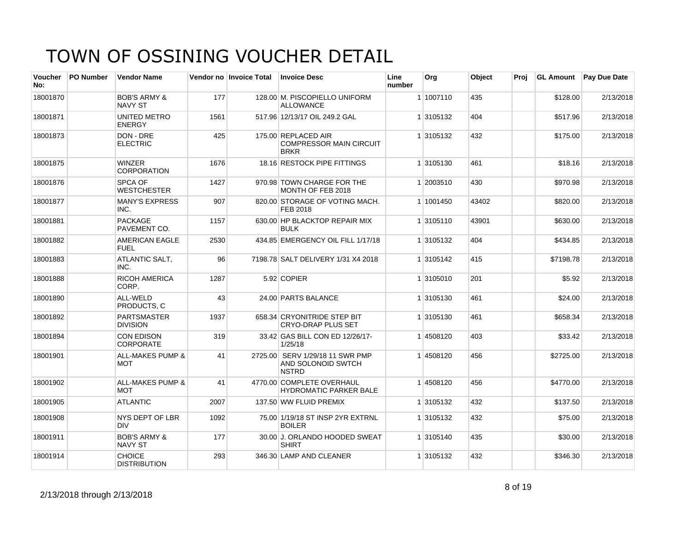| <b>Voucher</b><br>No: | <b>PO Number</b> | <b>Vendor Name</b>                        |      | Vendor no Invoice Total | <b>Invoice Desc</b>                                                   | Line<br>number | Org       | Object | Proj | <b>GL Amount</b> | Pay Due Date |
|-----------------------|------------------|-------------------------------------------|------|-------------------------|-----------------------------------------------------------------------|----------------|-----------|--------|------|------------------|--------------|
| 18001870              |                  | <b>BOB'S ARMY &amp;</b><br><b>NAVY ST</b> | 177  |                         | 128.00 M. PISCOPIELLO UNIFORM<br><b>ALLOWANCE</b>                     |                | 1 1007110 | 435    |      | \$128.00         | 2/13/2018    |
| 18001871              |                  | UNITED METRO<br><b>ENERGY</b>             | 1561 |                         | 517.96 12/13/17 OIL 249.2 GAL                                         |                | 1 3105132 | 404    |      | \$517.96         | 2/13/2018    |
| 18001873              |                  | DON - DRE<br><b>ELECTRIC</b>              | 425  |                         | 175.00 REPLACED AIR<br><b>COMPRESSOR MAIN CIRCUIT</b><br><b>BRKR</b>  |                | 1 3105132 | 432    |      | \$175.00         | 2/13/2018    |
| 18001875              |                  | <b>WINZER</b><br><b>CORPORATION</b>       | 1676 |                         | 18.16 RESTOCK PIPE FITTINGS                                           |                | 1 3105130 | 461    |      | \$18.16          | 2/13/2018    |
| 18001876              |                  | <b>SPCA OF</b><br><b>WESTCHESTER</b>      | 1427 |                         | 970.98 TOWN CHARGE FOR THE<br>MONTH OF FEB 2018                       |                | 1 2003510 | 430    |      | \$970.98         | 2/13/2018    |
| 18001877              |                  | <b>MANY'S EXPRESS</b><br>INC.             | 907  |                         | 820.00 STORAGE OF VOTING MACH.<br>FEB 2018                            |                | 1 1001450 | 43402  |      | \$820.00         | 2/13/2018    |
| 18001881              |                  | <b>PACKAGE</b><br>PAVEMENT CO.            | 1157 |                         | 630.00 HP BLACKTOP REPAIR MIX<br><b>BULK</b>                          |                | 1 3105110 | 43901  |      | \$630.00         | 2/13/2018    |
| 18001882              |                  | AMERICAN EAGLE<br><b>FUEL</b>             | 2530 |                         | 434.85 EMERGENCY OIL FILL 1/17/18                                     |                | 1 3105132 | 404    |      | \$434.85         | 2/13/2018    |
| 18001883              |                  | <b>ATLANTIC SALT.</b><br>INC.             | 96   |                         | 7198.78 SALT DELIVERY 1/31 X4 2018                                    |                | 1 3105142 | 415    |      | \$7198.78        | 2/13/2018    |
| 18001888              |                  | <b>RICOH AMERICA</b><br>CORP.             | 1287 |                         | 5.92 COPIER                                                           |                | 1 3105010 | 201    |      | \$5.92           | 2/13/2018    |
| 18001890              |                  | ALL-WELD<br>PRODUCTS, C                   | 43   |                         | 24.00 PARTS BALANCE                                                   |                | 1 3105130 | 461    |      | \$24.00          | 2/13/2018    |
| 18001892              |                  | <b>PARTSMASTER</b><br><b>DIVISION</b>     | 1937 |                         | 658.34 CRYONITRIDE STEP BIT<br><b>CRYO-DRAP PLUS SET</b>              |                | 1 3105130 | 461    |      | \$658.34         | 2/13/2018    |
| 18001894              |                  | <b>CON EDISON</b><br><b>CORPORATE</b>     | 319  |                         | 33.42 GAS BILL CON ED 12/26/17-<br>1/25/18                            |                | 1 4508120 | 403    |      | \$33.42          | 2/13/2018    |
| 18001901              |                  | <b>ALL-MAKES PUMP &amp;</b><br>MOT        | 41   |                         | 2725.00 SERV 1/29/18 11 SWR PMP<br>AND SOLONOID SWTCH<br><b>NSTRD</b> |                | 1 4508120 | 456    |      | \$2725.00        | 2/13/2018    |
| 18001902              |                  | <b>ALL-MAKES PUMP &amp;</b><br><b>MOT</b> | 41   |                         | 4770.00 COMPLETE OVERHAUL<br><b>HYDROMATIC PARKER BALE</b>            |                | 1 4508120 | 456    |      | \$4770.00        | 2/13/2018    |
| 18001905              |                  | <b>ATLANTIC</b>                           | 2007 |                         | 137.50 WW FLUID PREMIX                                                |                | 1 3105132 | 432    |      | \$137.50         | 2/13/2018    |
| 18001908              |                  | NYS DEPT OF LBR<br><b>DIV</b>             | 1092 |                         | 75.00 1/19/18 ST INSP 2YR EXTRNL<br><b>BOILER</b>                     |                | 1 3105132 | 432    |      | \$75.00          | 2/13/2018    |
| 18001911              |                  | <b>BOB'S ARMY &amp;</b><br><b>NAVY ST</b> | 177  |                         | 30.00 J. ORLANDO HOODED SWEAT<br><b>SHIRT</b>                         |                | 1 3105140 | 435    |      | \$30.00          | 2/13/2018    |
| 18001914              |                  | <b>CHOICE</b><br><b>DISTRIBUTION</b>      | 293  |                         | 346.30 LAMP AND CLEANER                                               |                | 1 3105132 | 432    |      | \$346.30         | 2/13/2018    |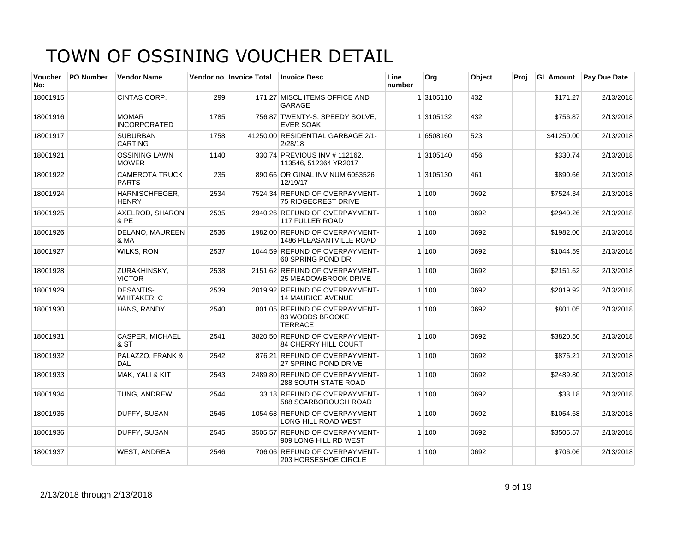| <b>Voucher</b><br>No: | <b>PO Number</b> | <b>Vendor Name</b>                     |      | Vendor no Invoice Total | <b>Invoice Desc</b>                                                | Line<br>number | Org       | Object | Proj | <b>GL Amount</b> | <b>Pay Due Date</b> |
|-----------------------|------------------|----------------------------------------|------|-------------------------|--------------------------------------------------------------------|----------------|-----------|--------|------|------------------|---------------------|
| 18001915              |                  | CINTAS CORP.                           | 299  |                         | 171.27 MISCL ITEMS OFFICE AND<br><b>GARAGE</b>                     |                | 1 3105110 | 432    |      | \$171.27         | 2/13/2018           |
| 18001916              |                  | <b>MOMAR</b><br><b>INCORPORATED</b>    | 1785 |                         | 756.87 TWENTY-S, SPEEDY SOLVE,<br><b>EVER SOAK</b>                 |                | 1 3105132 | 432    |      | \$756.87         | 2/13/2018           |
| 18001917              |                  | <b>SUBURBAN</b><br><b>CARTING</b>      | 1758 |                         | 41250.00 RESIDENTIAL GARBAGE 2/1-<br>2/28/18                       |                | 1 6508160 | 523    |      | \$41250.00       | 2/13/2018           |
| 18001921              |                  | <b>OSSINING LAWN</b><br><b>MOWER</b>   | 1140 |                         | 330.74 PREVIOUS INV # 112162.<br>113546, 512364 YR2017             |                | 1 3105140 | 456    |      | \$330.74         | 2/13/2018           |
| 18001922              |                  | <b>CAMEROTA TRUCK</b><br><b>PARTS</b>  | 235  |                         | 890.66 ORIGINAL INV NUM 6053526<br>12/19/17                        |                | 1 3105130 | 461    |      | \$890.66         | 2/13/2018           |
| 18001924              |                  | HARNISCHFEGER.<br><b>HENRY</b>         | 2534 |                         | 7524.34 REFUND OF OVERPAYMENT-<br><b>75 RIDGECREST DRIVE</b>       |                | 1 100     | 0692   |      | \$7524.34        | 2/13/2018           |
| 18001925              |                  | AXELROD, SHARON<br>& PE                | 2535 |                         | 2940.26 REFUND OF OVERPAYMENT-<br>117 FULLER ROAD                  |                | 1 100     | 0692   |      | \$2940.26        | 2/13/2018           |
| 18001926              |                  | DELANO, MAUREEN<br>& MA                | 2536 |                         | 1982.00 REFUND OF OVERPAYMENT-<br>1486 PLEASANTVILLE ROAD          |                | 1 100     | 0692   |      | \$1982.00        | 2/13/2018           |
| 18001927              |                  | <b>WILKS, RON</b>                      | 2537 |                         | 1044.59 REFUND OF OVERPAYMENT-<br>60 SPRING POND DR                |                | 1 100     | 0692   |      | \$1044.59        | 2/13/2018           |
| 18001928              |                  | ZURAKHINSKY,<br><b>VICTOR</b>          | 2538 |                         | 2151.62 REFUND OF OVERPAYMENT-<br><b>25 MEADOWBROOK DRIVE</b>      |                | 1 100     | 0692   |      | \$2151.62        | 2/13/2018           |
| 18001929              |                  | <b>DESANTIS-</b><br><b>WHITAKER, C</b> | 2539 |                         | 2019.92 REFUND OF OVERPAYMENT-<br><b>14 MAURICE AVENUE</b>         |                | 1 100     | 0692   |      | \$2019.92        | 2/13/2018           |
| 18001930              |                  | HANS, RANDY                            | 2540 |                         | 801.05 REFUND OF OVERPAYMENT-<br>83 WOODS BROOKE<br><b>TERRACE</b> |                | 1 100     | 0692   |      | \$801.05         | 2/13/2018           |
| 18001931              |                  | CASPER, MICHAEL<br>& ST                | 2541 |                         | 3820.50 REFUND OF OVERPAYMENT-<br>84 CHERRY HILL COURT             |                | 1 100     | 0692   |      | \$3820.50        | 2/13/2018           |
| 18001932              |                  | PALAZZO, FRANK &<br>DAL                | 2542 |                         | 876.21 REFUND OF OVERPAYMENT-<br>27 SPRING POND DRIVE              |                | 1 100     | 0692   |      | \$876.21         | 2/13/2018           |
| 18001933              |                  | MAK, YALI & KIT                        | 2543 |                         | 2489.80 REFUND OF OVERPAYMENT-<br><b>288 SOUTH STATE ROAD</b>      |                | 1 100     | 0692   |      | \$2489.80        | 2/13/2018           |
| 18001934              |                  | TUNG, ANDREW                           | 2544 |                         | 33.18 REFUND OF OVERPAYMENT-<br>588 SCARBOROUGH ROAD               |                | 1 100     | 0692   |      | \$33.18          | 2/13/2018           |
| 18001935              |                  | DUFFY, SUSAN                           | 2545 |                         | 1054.68 REFUND OF OVERPAYMENT-<br><b>LONG HILL ROAD WEST</b>       |                | 1 100     | 0692   |      | \$1054.68        | 2/13/2018           |
| 18001936              |                  | DUFFY, SUSAN                           | 2545 |                         | 3505.57 REFUND OF OVERPAYMENT-<br>909 LONG HILL RD WEST            |                | 1 100     | 0692   |      | \$3505.57        | 2/13/2018           |
| 18001937              |                  | <b>WEST, ANDREA</b>                    | 2546 |                         | 706.06 REFUND OF OVERPAYMENT-<br>203 HORSESHOE CIRCLE              |                | 1 100     | 0692   |      | \$706.06         | 2/13/2018           |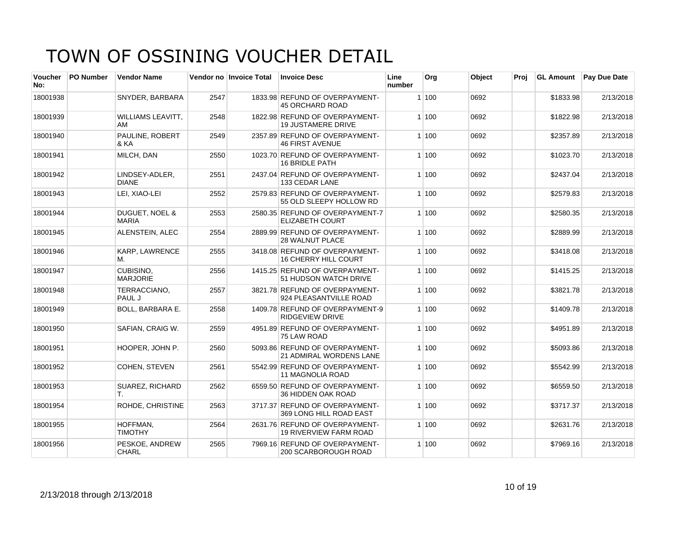| <b>Voucher</b><br>No: | <b>PO Number</b> | <b>Vendor Name</b>                        |      | Vendor no Invoice Total | <b>Invoice Desc</b>                                         | Line<br>number | Org   | Object | Proi | <b>GL Amount</b> | <b>Pay Due Date</b> |
|-----------------------|------------------|-------------------------------------------|------|-------------------------|-------------------------------------------------------------|----------------|-------|--------|------|------------------|---------------------|
| 18001938              |                  | SNYDER, BARBARA                           | 2547 |                         | 1833.98 REFUND OF OVERPAYMENT-<br><b>45 ORCHARD ROAD</b>    |                | 1 100 | 0692   |      | \$1833.98        | 2/13/2018           |
| 18001939              |                  | <b>WILLIAMS LEAVITT.</b><br>AM            | 2548 |                         | 1822.98 REFUND OF OVERPAYMENT-<br><b>19 JUSTAMERE DRIVE</b> |                | 1 100 | 0692   |      | \$1822.98        | 2/13/2018           |
| 18001940              |                  | <b>PAULINE, ROBERT</b><br>& KA            | 2549 |                         | 2357.89 REFUND OF OVERPAYMENT-<br><b>46 FIRST AVENUE</b>    |                | 1 100 | 0692   |      | \$2357.89        | 2/13/2018           |
| 18001941              |                  | MILCH, DAN                                | 2550 |                         | 1023.70 REFUND OF OVERPAYMENT-<br><b>16 BRIDLE PATH</b>     |                | 1 100 | 0692   |      | \$1023.70        | 2/13/2018           |
| 18001942              |                  | LINDSEY-ADLER,<br><b>DIANE</b>            | 2551 |                         | 2437.04 REFUND OF OVERPAYMENT-<br>133 CEDAR LANE            |                | 1 100 | 0692   |      | \$2437.04        | 2/13/2018           |
| 18001943              |                  | LEI, XIAO-LEI                             | 2552 |                         | 2579.83 REFUND OF OVERPAYMENT-<br>55 OLD SLEEPY HOLLOW RD   |                | 1 100 | 0692   |      | \$2579.83        | 2/13/2018           |
| 18001944              |                  | <b>DUGUET, NOEL &amp;</b><br><b>MARIA</b> | 2553 |                         | 2580.35 REFUND OF OVERPAYMENT-7<br><b>ELIZABETH COURT</b>   |                | 1 100 | 0692   |      | \$2580.35        | 2/13/2018           |
| 18001945              |                  | ALENSTEIN, ALEC                           | 2554 |                         | 2889.99 REFUND OF OVERPAYMENT-<br><b>28 WALNUT PLACE</b>    |                | 1 100 | 0692   |      | \$2889.99        | 2/13/2018           |
| 18001946              |                  | <b>KARP, LAWRENCE</b><br>М.               | 2555 |                         | 3418.08 REFUND OF OVERPAYMENT-<br>16 CHERRY HILL COURT      |                | 1 100 | 0692   |      | \$3418.08        | 2/13/2018           |
| 18001947              |                  | <b>CUBISINO.</b><br><b>MARJORIE</b>       | 2556 |                         | 1415.25 REFUND OF OVERPAYMENT-<br>51 HUDSON WATCH DRIVE     |                | 1 100 | 0692   |      | \$1415.25        | 2/13/2018           |
| 18001948              |                  | TERRACCIANO.<br>PAUL J                    | 2557 |                         | 3821.78 REFUND OF OVERPAYMENT-<br>924 PLEASANTVILLE ROAD    |                | 1 100 | 0692   |      | \$3821.78        | 2/13/2018           |
| 18001949              |                  | <b>BOLL, BARBARA E.</b>                   | 2558 |                         | 1409.78 REFUND OF OVERPAYMENT-9<br><b>RIDGEVIEW DRIVE</b>   |                | 1 100 | 0692   |      | \$1409.78        | 2/13/2018           |
| 18001950              |                  | SAFIAN, CRAIG W.                          | 2559 |                         | 4951.89 REFUND OF OVERPAYMENT-<br>75 LAW ROAD               |                | 1 100 | 0692   |      | \$4951.89        | 2/13/2018           |
| 18001951              |                  | HOOPER, JOHN P.                           | 2560 |                         | 5093.86 REFUND OF OVERPAYMENT-<br>21 ADMIRAL WORDENS LANE   |                | 1 100 | 0692   |      | \$5093.86        | 2/13/2018           |
| 18001952              |                  | COHEN, STEVEN                             | 2561 |                         | 5542.99 REFUND OF OVERPAYMENT-<br><b>11 MAGNOLIA ROAD</b>   |                | 1 100 | 0692   |      | \$5542.99        | 2/13/2018           |
| 18001953              |                  | <b>SUAREZ, RICHARD</b><br>Τ.              | 2562 |                         | 6559.50 REFUND OF OVERPAYMENT-<br>36 HIDDEN OAK ROAD        |                | 1 100 | 0692   |      | \$6559.50        | 2/13/2018           |
| 18001954              |                  | <b>ROHDE, CHRISTINE</b>                   | 2563 |                         | 3717.37 REFUND OF OVERPAYMENT-<br>369 LONG HILL ROAD EAST   |                | 1 100 | 0692   |      | \$3717.37        | 2/13/2018           |
| 18001955              |                  | HOFFMAN.<br><b>TIMOTHY</b>                | 2564 |                         | 2631.76 REFUND OF OVERPAYMENT-<br>19 RIVERVIEW FARM ROAD    |                | 1 100 | 0692   |      | \$2631.76        | 2/13/2018           |
| 18001956              |                  | PESKOE, ANDREW<br><b>CHARL</b>            | 2565 |                         | 7969.16 REFUND OF OVERPAYMENT-<br>200 SCARBOROUGH ROAD      |                | 1 100 | 0692   |      | \$7969.16        | 2/13/2018           |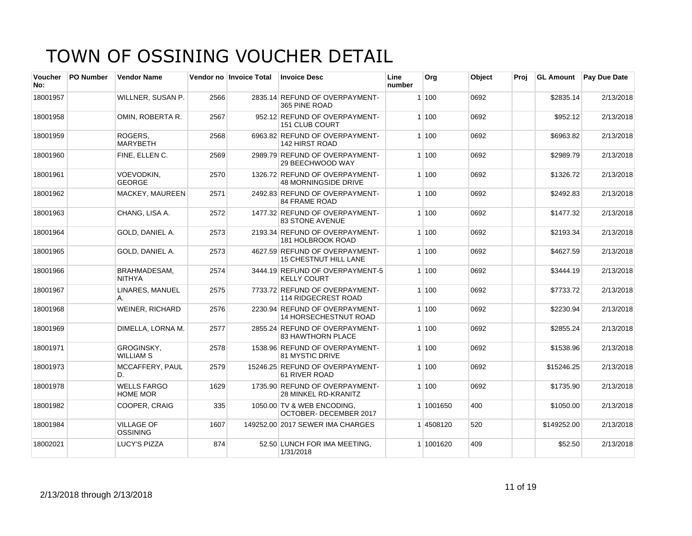| <b>Voucher</b><br>No: | <b>PO Number</b> | <b>Vendor Name</b>                    |      | Vendor no Invoice Total | <b>Invoice Desc</b>                                            | Line<br>number | Org       | Object | Proi | <b>GL Amount</b> | <b>Pay Due Date</b> |
|-----------------------|------------------|---------------------------------------|------|-------------------------|----------------------------------------------------------------|----------------|-----------|--------|------|------------------|---------------------|
| 18001957              |                  | WILLNER, SUSAN P.                     | 2566 |                         | 2835.14 REFUND OF OVERPAYMENT-<br>365 PINE ROAD                |                | 1 100     | 0692   |      | \$2835.14        | 2/13/2018           |
| 18001958              |                  | OMIN. ROBERTA R.                      | 2567 |                         | 952.12 REFUND OF OVERPAYMENT-<br><b>151 CLUB COURT</b>         |                | 1 100     | 0692   |      | \$952.12         | 2/13/2018           |
| 18001959              |                  | ROGERS.<br><b>MARYBETH</b>            | 2568 |                         | 6963.82 REFUND OF OVERPAYMENT-<br><b>142 HIRST ROAD</b>        |                | 1 100     | 0692   |      | \$6963.82        | 2/13/2018           |
| 18001960              |                  | FINE, ELLEN C.                        | 2569 |                         | 2989.79 REFUND OF OVERPAYMENT-<br>29 BEECHWOOD WAY             |                | 1 100     | 0692   |      | \$2989.79        | 2/13/2018           |
| 18001961              |                  | VOEVODKIN,<br><b>GEORGE</b>           | 2570 |                         | 1326.72 REFUND OF OVERPAYMENT-<br><b>48 MORNINGSIDE DRIVE</b>  |                | 1 100     | 0692   |      | \$1326.72        | 2/13/2018           |
| 18001962              |                  | <b>MACKEY, MAUREEN</b>                | 2571 |                         | 2492.83 REFUND OF OVERPAYMENT-<br><b>84 FRAME ROAD</b>         |                | 1 100     | 0692   |      | \$2492.83        | 2/13/2018           |
| 18001963              |                  | CHANG, LISA A.                        | 2572 |                         | 1477.32 REFUND OF OVERPAYMENT-<br><b>83 STONE AVENUE</b>       |                | 1 100     | 0692   |      | \$1477.32        | 2/13/2018           |
| 18001964              |                  | GOLD, DANIEL A.                       | 2573 |                         | 2193.34 REFUND OF OVERPAYMENT-<br>181 HOLBROOK ROAD            |                | 1 100     | 0692   |      | \$2193.34        | 2/13/2018           |
| 18001965              |                  | GOLD, DANIEL A.                       | 2573 |                         | 4627.59 REFUND OF OVERPAYMENT-<br><b>15 CHESTNUT HILL LANE</b> |                | 1100      | 0692   |      | \$4627.59        | 2/13/2018           |
| 18001966              |                  | <b>BRAHMADESAM,</b><br><b>NITHYA</b>  | 2574 |                         | 3444.19 REFUND OF OVERPAYMENT-5<br><b>KELLY COURT</b>          |                | 1 100     | 0692   |      | \$3444.19        | 2/13/2018           |
| 18001967              |                  | LINARES, MANUEL<br>А.                 | 2575 |                         | 7733.72 REFUND OF OVERPAYMENT-<br>114 RIDGECREST ROAD          |                | 1 100     | 0692   |      | \$7733.72        | 2/13/2018           |
| 18001968              |                  | <b>WEINER, RICHARD</b>                | 2576 |                         | 2230.94 REFUND OF OVERPAYMENT-<br><b>14 HORSECHESTNUT ROAD</b> |                | 1 100     | 0692   |      | \$2230.94        | 2/13/2018           |
| 18001969              |                  | DIMELLA, LORNA M.                     | 2577 |                         | 2855.24 REFUND OF OVERPAYMENT-<br><b>83 HAWTHORN PLACE</b>     |                | 1 100     | 0692   |      | \$2855.24        | 2/13/2018           |
| 18001971              |                  | <b>GROGINSKY.</b><br><b>WILLIAM S</b> | 2578 |                         | 1538.96 REFUND OF OVERPAYMENT-<br><b>81 MYSTIC DRIVE</b>       |                | 1 100     | 0692   |      | \$1538.96        | 2/13/2018           |
| 18001973              |                  | MCCAFFERY, PAUL<br>D.                 | 2579 |                         | 15246.25 REFUND OF OVERPAYMENT-<br>61 RIVER ROAD               |                | 1 100     | 0692   |      | \$15246.25       | 2/13/2018           |
| 18001978              |                  | <b>WELLS FARGO</b><br><b>HOME MOR</b> | 1629 |                         | 1735.90 REFUND OF OVERPAYMENT-<br><b>28 MINKEL RD-KRANITZ</b>  |                | 1 100     | 0692   |      | \$1735.90        | 2/13/2018           |
| 18001982              |                  | COOPER, CRAIG                         | 335  |                         | 1050.00 TV & WEB ENCODING,<br>OCTOBER-DECEMBER 2017            |                | 1 1001650 | 400    |      | \$1050.00        | 2/13/2018           |
| 18001984              |                  | <b>VILLAGE OF</b><br><b>OSSINING</b>  | 1607 |                         | 149252.00 2017 SEWER IMA CHARGES                               |                | 1 4508120 | 520    |      | \$149252.00      | 2/13/2018           |
| 18002021              |                  | LUCY'S PIZZA                          | 874  |                         | 52.50 LUNCH FOR IMA MEETING.<br>1/31/2018                      |                | 1 1001620 | 409    |      | \$52.50          | 2/13/2018           |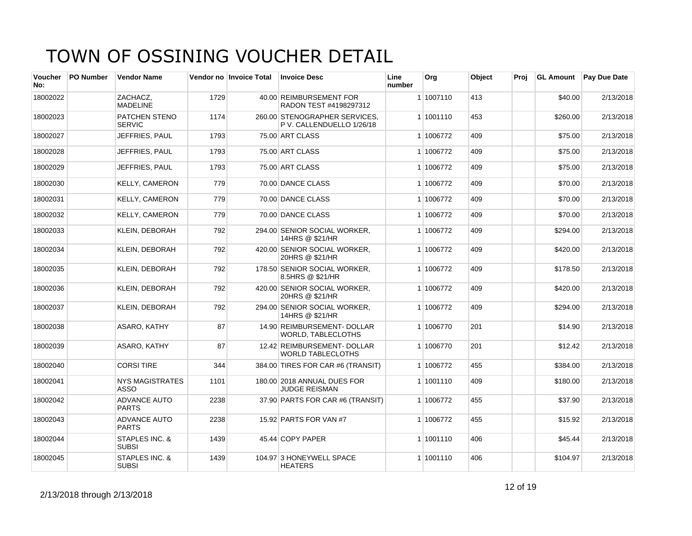| Voucher<br>No: | <b>PO Number</b> | <b>Vendor Name</b>                    |      | Vendor no Invoice Total | <b>Invoice Desc</b>                                        | Line<br>number | Org       | Object | Proi | <b>GL Amount</b> | <b>Pay Due Date</b> |
|----------------|------------------|---------------------------------------|------|-------------------------|------------------------------------------------------------|----------------|-----------|--------|------|------------------|---------------------|
| 18002022       |                  | ZACHACZ.<br><b>MADELINE</b>           | 1729 |                         | 40.00 REIMBURSEMENT FOR<br>RADON TEST #4198297312          |                | 1 1007110 | 413    |      | \$40.00          | 2/13/2018           |
| 18002023       |                  | PATCHEN STENO<br><b>SERVIC</b>        | 1174 |                         | 260.00 STENOGRAPHER SERVICES,<br>P V. CALLENDUELLO 1/26/18 |                | 1 1001110 | 453    |      | \$260.00         | 2/13/2018           |
| 18002027       |                  | JEFFRIES, PAUL                        | 1793 |                         | 75.00 ART CLASS                                            |                | 1 1006772 | 409    |      | \$75.00          | 2/13/2018           |
| 18002028       |                  | JEFFRIES. PAUL                        | 1793 |                         | 75.00 ART CLASS                                            |                | 1 1006772 | 409    |      | \$75.00          | 2/13/2018           |
| 18002029       |                  | JEFFRIES, PAUL                        | 1793 |                         | 75.00 ART CLASS                                            |                | 1 1006772 | 409    |      | \$75.00          | 2/13/2018           |
| 18002030       |                  | <b>KELLY, CAMERON</b>                 | 779  |                         | 70.00 DANCE CLASS                                          |                | 1 1006772 | 409    |      | \$70.00          | 2/13/2018           |
| 18002031       |                  | <b>KELLY, CAMERON</b>                 | 779  |                         | 70.00 DANCE CLASS                                          |                | 1 1006772 | 409    |      | \$70.00          | 2/13/2018           |
| 18002032       |                  | <b>KELLY, CAMERON</b>                 | 779  |                         | 70.00 DANCE CLASS                                          |                | 1 1006772 | 409    |      | \$70.00          | 2/13/2018           |
| 18002033       |                  | KLEIN, DEBORAH                        | 792  |                         | 294.00 SENIOR SOCIAL WORKER,<br>14HRS @ \$21/HR            |                | 1 1006772 | 409    |      | \$294.00         | 2/13/2018           |
| 18002034       |                  | <b>KLEIN, DEBORAH</b>                 | 792  |                         | 420.00 SENIOR SOCIAL WORKER.<br>20HRS @ \$21/HR            |                | 1 1006772 | 409    |      | \$420.00         | 2/13/2018           |
| 18002035       |                  | KLEIN, DEBORAH                        | 792  |                         | 178.50 SENIOR SOCIAL WORKER,<br>8.5HRS @ \$21/HR           |                | 1 1006772 | 409    |      | \$178.50         | 2/13/2018           |
| 18002036       |                  | KLEIN, DEBORAH                        | 792  |                         | 420.00 SENIOR SOCIAL WORKER,<br>20HRS @ \$21/HR            |                | 1 1006772 | 409    |      | \$420.00         | 2/13/2018           |
| 18002037       |                  | <b>KLEIN, DEBORAH</b>                 | 792  |                         | 294.00 SENIOR SOCIAL WORKER.<br>14HRS @ \$21/HR            |                | 1 1006772 | 409    |      | \$294.00         | 2/13/2018           |
| 18002038       |                  | ASARO, KATHY                          | 87   |                         | 14.90 REIMBURSEMENT- DOLLAR<br>WORLD, TABLECLOTHS          |                | 1 1006770 | 201    |      | \$14.90          | 2/13/2018           |
| 18002039       |                  | ASARO, KATHY                          | 87   |                         | 12.42 REIMBURSEMENT- DOLLAR<br><b>WORLD TABLECLOTHS</b>    |                | 1 1006770 | 201    |      | \$12.42          | 2/13/2018           |
| 18002040       |                  | <b>CORSI TIRE</b>                     | 344  |                         | 384.00 TIRES FOR CAR #6 (TRANSIT)                          |                | 1 1006772 | 455    |      | \$384.00         | 2/13/2018           |
| 18002041       |                  | <b>NYS MAGISTRATES</b><br><b>ASSO</b> | 1101 |                         | 180.00 2018 ANNUAL DUES FOR<br><b>JUDGE REISMAN</b>        |                | 1 1001110 | 409    |      | \$180.00         | 2/13/2018           |
| 18002042       |                  | <b>ADVANCE AUTO</b><br><b>PARTS</b>   | 2238 |                         | 37.90 PARTS FOR CAR #6 (TRANSIT)                           |                | 1 1006772 | 455    |      | \$37.90          | 2/13/2018           |
| 18002043       |                  | <b>ADVANCE AUTO</b><br><b>PARTS</b>   | 2238 |                         | 15.92 PARTS FOR VAN #7                                     |                | 1 1006772 | 455    |      | \$15.92          | 2/13/2018           |
| 18002044       |                  | STAPLES INC. &<br><b>SUBSI</b>        | 1439 |                         | 45.44 COPY PAPER                                           |                | 1 1001110 | 406    |      | \$45.44          | 2/13/2018           |
| 18002045       |                  | STAPLES INC. &<br><b>SUBSI</b>        | 1439 |                         | 104.97 3 HONEYWELL SPACE<br><b>HEATERS</b>                 |                | 1 1001110 | 406    |      | \$104.97         | 2/13/2018           |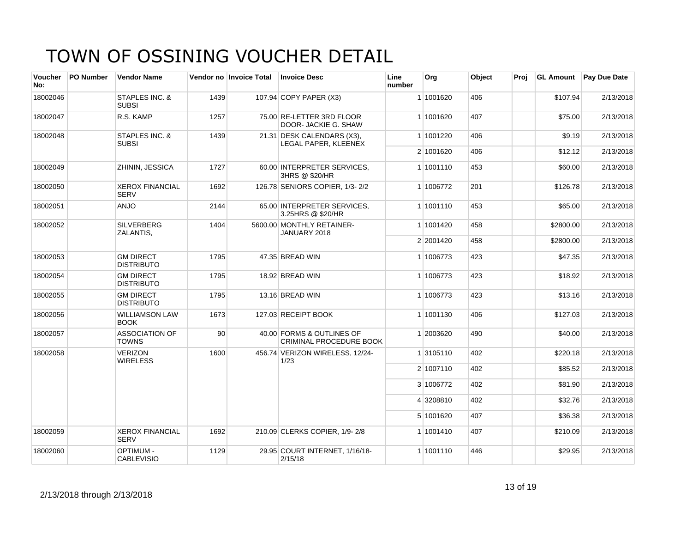| <b>Voucher</b><br>No: | PO Number                      | <b>Vendor Name</b>                    |                                           | Vendor no Invoice Total | <b>Invoice Desc</b>                                         | Line<br>number | Org       | Object    | Proj      | <b>GL Amount</b> | <b>Pay Due Date</b> |
|-----------------------|--------------------------------|---------------------------------------|-------------------------------------------|-------------------------|-------------------------------------------------------------|----------------|-----------|-----------|-----------|------------------|---------------------|
| 18002046              |                                | STAPLES INC. &<br><b>SUBSI</b>        | 1439                                      |                         | 107.94 COPY PAPER (X3)                                      |                | 1 1001620 | 406       |           | \$107.94         | 2/13/2018           |
| 18002047              |                                | R.S. KAMP                             | 1257                                      |                         | 75.00 RE-LETTER 3RD FLOOR<br>DOOR- JACKIE G. SHAW           |                | 1 1001620 | 407       |           | \$75.00          | 2/13/2018           |
| 18002048              |                                | STAPLES INC. &<br><b>SUBSI</b>        | 1439                                      |                         | 21.31 DESK CALENDARS (X3),<br>LEGAL PAPER, KLEENEX          |                | 1 1001220 | 406       |           | \$9.19           | 2/13/2018           |
|                       |                                |                                       |                                           |                         |                                                             |                | 2 1001620 | 406       |           | \$12.12          | 2/13/2018           |
| 18002049              |                                | ZHININ, JESSICA                       | 1727                                      |                         | 60.00 INTERPRETER SERVICES.<br>3HRS @ \$20/HR               |                | 1 1001110 | 453       |           | \$60.00          | 2/13/2018           |
| 18002050              |                                | <b>XEROX FINANCIAL</b><br><b>SERV</b> | 1692                                      |                         | 126.78 SENIORS COPIER, 1/3-2/2                              |                | 1 1006772 | 201       |           | \$126.78         | 2/13/2018           |
| 18002051              |                                | <b>ANJO</b>                           | 2144                                      |                         | 65.00 INTERPRETER SERVICES,<br>3.25HRS @ \$20/HR            |                | 1 1001110 | 453       |           | \$65.00          | 2/13/2018           |
| 18002052              | <b>SILVERBERG</b><br>ZALANTIS, | 1404                                  | 5600.00 MONTHLY RETAINER-<br>JANUARY 2018 |                         | 1 1001420                                                   | 458            |           | \$2800.00 | 2/13/2018 |                  |                     |
|                       |                                |                                       |                                           |                         |                                                             |                | 2 2001420 | 458       |           | \$2800.00        | 2/13/2018           |
| 18002053              |                                | <b>GM DIRECT</b><br><b>DISTRIBUTO</b> | 1795                                      |                         | 47.35 BREAD WIN                                             |                | 1 1006773 | 423       |           | \$47.35          | 2/13/2018           |
| 18002054              |                                | <b>GM DIRECT</b><br><b>DISTRIBUTO</b> | 1795                                      |                         | 18.92 BREAD WIN                                             |                | 1 1006773 | 423       |           | \$18.92          | 2/13/2018           |
| 18002055              |                                | <b>GM DIRECT</b><br><b>DISTRIBUTO</b> | 1795                                      |                         | 13.16 BREAD WIN                                             |                | 1 1006773 | 423       |           | \$13.16          | 2/13/2018           |
| 18002056              |                                | <b>WILLIAMSON LAW</b><br><b>BOOK</b>  | 1673                                      |                         | 127.03 RECEIPT BOOK                                         |                | 1 1001130 | 406       |           | \$127.03         | 2/13/2018           |
| 18002057              |                                | <b>ASSOCIATION OF</b><br><b>TOWNS</b> | 90                                        |                         | 40.00 FORMS & OUTLINES OF<br><b>CRIMINAL PROCEDURE BOOK</b> |                | 1 2003620 | 490       |           | \$40.00          | 2/13/2018           |
| 18002058              |                                | <b>VERIZON</b><br><b>WIRELESS</b>     | 1600                                      |                         | 456.74 VERIZON WIRELESS, 12/24-<br>1/23                     |                | 1 3105110 | 402       |           | \$220.18         | 2/13/2018           |
|                       |                                |                                       |                                           |                         |                                                             |                | 2 1007110 | 402       |           | \$85.52          | 2/13/2018           |
|                       |                                |                                       |                                           |                         |                                                             |                | 3 1006772 | 402       |           | \$81.90          | 2/13/2018           |
|                       |                                |                                       |                                           |                         |                                                             |                | 4 3208810 | 402       |           | \$32.76          | 2/13/2018           |
|                       |                                |                                       |                                           |                         |                                                             |                | 5 1001620 | 407       |           | \$36.38          | 2/13/2018           |
| 18002059              |                                | <b>XEROX FINANCIAL</b><br><b>SERV</b> | 1692                                      |                         | 210.09 CLERKS COPIER, 1/9-2/8                               |                | 1 1001410 | 407       |           | \$210.09         | 2/13/2018           |
| 18002060              |                                | <b>OPTIMUM -</b><br><b>CABLEVISIO</b> | 1129                                      |                         | 29.95 COURT INTERNET, 1/16/18-<br>2/15/18                   |                | 1 1001110 | 446       |           | \$29.95          | 2/13/2018           |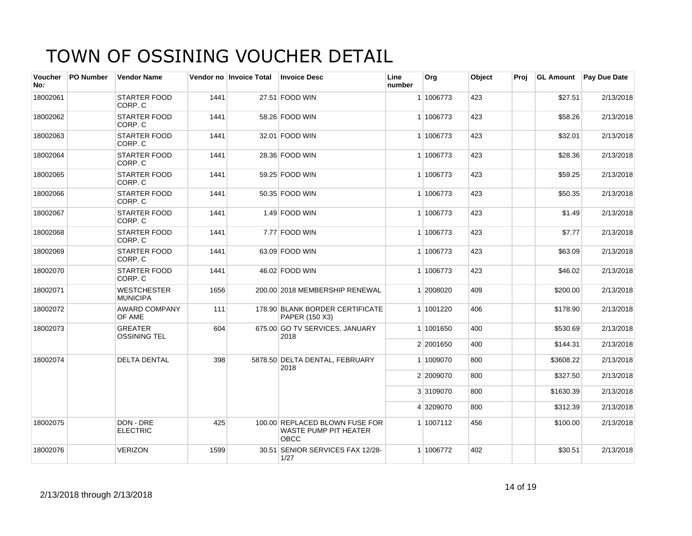| Voucher<br>No: | <b>PO Number</b> | <b>Vendor Name</b>                    |      | Vendor no Invoice Total | <b>Invoice Desc</b>                                                           | Line<br>number | Org       | Object | Proj |           | <b>GL Amount</b> Pay Due Date |
|----------------|------------------|---------------------------------------|------|-------------------------|-------------------------------------------------------------------------------|----------------|-----------|--------|------|-----------|-------------------------------|
| 18002061       |                  | <b>STARTER FOOD</b><br>CORP. C        | 1441 |                         | 27.51 FOOD WIN                                                                |                | 1 1006773 | 423    |      | \$27.51   | 2/13/2018                     |
| 18002062       |                  | <b>STARTER FOOD</b><br>CORP. C        | 1441 |                         | 58.26 FOOD WIN                                                                |                | 1 1006773 | 423    |      | \$58.26   | 2/13/2018                     |
| 18002063       |                  | <b>STARTER FOOD</b><br>CORP. C        | 1441 |                         | 32.01 FOOD WIN                                                                |                | 1 1006773 | 423    |      | \$32.01   | 2/13/2018                     |
| 18002064       |                  | <b>STARTER FOOD</b><br>CORP. C        | 1441 |                         | 28.36 FOOD WIN                                                                |                | 1 1006773 | 423    |      | \$28.36   | 2/13/2018                     |
| 18002065       |                  | <b>STARTER FOOD</b><br>CORP. C        | 1441 |                         | 59.25 FOOD WIN                                                                |                | 1 1006773 | 423    |      | \$59.25   | 2/13/2018                     |
| 18002066       |                  | <b>STARTER FOOD</b><br>CORP. C        | 1441 |                         | 50.35 FOOD WIN                                                                |                | 1 1006773 | 423    |      | \$50.35   | 2/13/2018                     |
| 18002067       |                  | <b>STARTER FOOD</b><br>CORP. C        | 1441 |                         | 1.49 FOOD WIN                                                                 |                | 1 1006773 | 423    |      | \$1.49    | 2/13/2018                     |
| 18002068       |                  | <b>STARTER FOOD</b><br>CORP. C        | 1441 |                         | 7.77 FOOD WIN                                                                 |                | 1 1006773 | 423    |      | \$7.77    | 2/13/2018                     |
| 18002069       |                  | <b>STARTER FOOD</b><br>CORP. C        | 1441 |                         | 63.09 FOOD WIN                                                                |                | 1 1006773 | 423    |      | \$63.09   | 2/13/2018                     |
| 18002070       |                  | <b>STARTER FOOD</b><br>CORP. C        | 1441 |                         | 46.02 FOOD WIN                                                                |                | 1 1006773 | 423    |      | \$46.02   | 2/13/2018                     |
| 18002071       |                  | <b>WESTCHESTER</b><br><b>MUNICIPA</b> | 1656 |                         | 200.00 2018 MEMBERSHIP RENEWAL                                                |                | 1 2008020 | 409    |      | \$200.00  | 2/13/2018                     |
| 18002072       |                  | <b>AWARD COMPANY</b><br>OF AME        | 111  |                         | 178.90 BLANK BORDER CERTIFICATE<br>PAPER (150 X3)                             |                | 1 1001220 | 406    |      | \$178.90  | 2/13/2018                     |
| 18002073       |                  | <b>GREATER</b><br><b>OSSINING TEL</b> | 604  |                         | 675.00 GO TV SERVICES, JANUARY<br>2018                                        |                | 1 1001650 | 400    |      | \$530.69  | 2/13/2018                     |
|                |                  |                                       |      |                         |                                                                               |                | 2 2001650 | 400    |      | \$144.31  | 2/13/2018                     |
| 18002074       |                  | <b>DELTA DENTAL</b>                   | 398  |                         | 5878.50 DELTA DENTAL, FEBRUARY<br>2018                                        |                | 1 1009070 | 800    |      | \$3608.22 | 2/13/2018                     |
|                |                  |                                       |      |                         |                                                                               |                | 2 2009070 | 800    |      | \$327.50  | 2/13/2018                     |
|                |                  |                                       |      |                         |                                                                               |                | 3 3109070 | 800    |      | \$1630.39 | 2/13/2018                     |
|                |                  |                                       |      |                         |                                                                               |                | 4 3209070 | 800    |      | \$312.39  | 2/13/2018                     |
| 18002075       |                  | DON - DRE<br><b>ELECTRIC</b>          | 425  |                         | 100.00 REPLACED BLOWN FUSE FOR<br><b>WASTE PUMP PIT HEATER</b><br><b>OBCC</b> |                | 1 1007112 | 456    |      | \$100.00  | 2/13/2018                     |
| 18002076       |                  | <b>VERIZON</b>                        | 1599 |                         | 30.51 SENIOR SERVICES FAX 12/28-<br>1/27                                      |                | 1 1006772 | 402    |      | \$30.51   | 2/13/2018                     |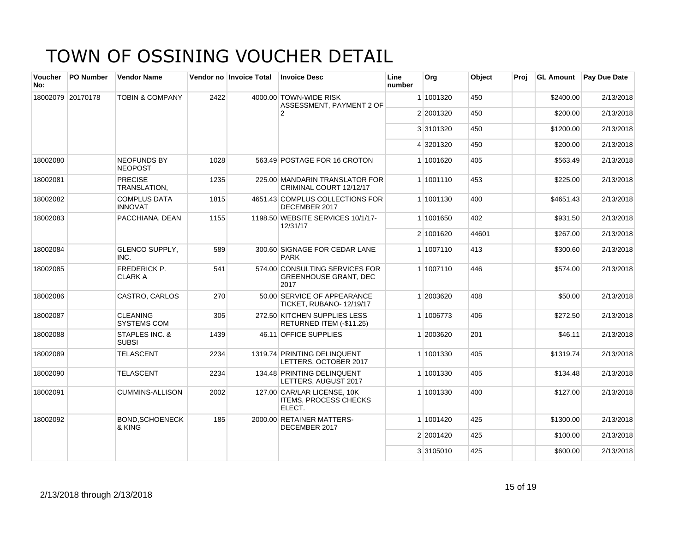| <b>Voucher</b><br>No: | <b>PO Number</b>  | <b>Vendor Name</b>                    |      | Vendor no Invoice Total | <b>Invoice Desc</b>                                                    | Line<br>number | Org       | Object | Proi | <b>GL Amount</b> | <b>Pay Due Date</b> |
|-----------------------|-------------------|---------------------------------------|------|-------------------------|------------------------------------------------------------------------|----------------|-----------|--------|------|------------------|---------------------|
|                       | 18002079 20170178 | <b>TOBIN &amp; COMPANY</b>            | 2422 |                         | 4000.00 TOWN-WIDE RISK<br>ASSESSMENT, PAYMENT 2 OF                     |                | 1 1001320 | 450    |      | \$2400.00        | 2/13/2018           |
|                       |                   |                                       |      |                         | $\overline{2}$                                                         |                | 2 2001320 | 450    |      | \$200.00         | 2/13/2018           |
|                       |                   |                                       |      |                         |                                                                        |                | 3 3101320 | 450    |      | \$1200.00        | 2/13/2018           |
|                       |                   |                                       |      |                         |                                                                        |                | 4 3201320 | 450    |      | \$200.00         | 2/13/2018           |
| 18002080              |                   | <b>NEOFUNDS BY</b><br><b>NEOPOST</b>  | 1028 |                         | 563.49 POSTAGE FOR 16 CROTON                                           |                | 1 1001620 | 405    |      | \$563.49         | 2/13/2018           |
| 18002081              |                   | <b>PRECISE</b><br>TRANSLATION,        | 1235 |                         | 225.00 MANDARIN TRANSLATOR FOR<br>CRIMINAL COURT 12/12/17              |                | 1 1001110 | 453    |      | \$225.00         | 2/13/2018           |
| 18002082              |                   | <b>COMPLUS DATA</b><br><b>INNOVAT</b> | 1815 |                         | 4651.43 COMPLUS COLLECTIONS FOR<br>DECEMBER 2017                       |                | 1 1001130 | 400    |      | \$4651.43        | 2/13/2018           |
| 18002083              |                   | PACCHIANA, DEAN                       | 1155 |                         | 1198.50 WEBSITE SERVICES 10/1/17-<br>12/31/17                          |                | 1 1001650 | 402    |      | \$931.50         | 2/13/2018           |
|                       |                   |                                       |      |                         |                                                                        |                | 2 1001620 | 44601  |      | \$267.00         | 2/13/2018           |
| 18002084              |                   | <b>GLENCO SUPPLY,</b><br>INC.         | 589  |                         | 300.60 SIGNAGE FOR CEDAR LANE<br><b>PARK</b>                           |                | 1 1007110 | 413    |      | \$300.60         | 2/13/2018           |
| 18002085              |                   | FREDERICK P.<br><b>CLARK A</b>        | 541  |                         | 574.00 CONSULTING SERVICES FOR<br><b>GREENHOUSE GRANT, DEC</b><br>2017 |                | 1 1007110 | 446    |      | \$574.00         | 2/13/2018           |
| 18002086              |                   | CASTRO, CARLOS                        | 270  |                         | 50.00 SERVICE OF APPEARANCE<br>TICKET, RUBANO-12/19/17                 |                | 1 2003620 | 408    |      | \$50.00          | 2/13/2018           |
| 18002087              |                   | <b>CLEANING</b><br><b>SYSTEMS COM</b> | 305  |                         | 272.50 KITCHEN SUPPLIES LESS<br>RETURNED ITEM (-\$11.25)               |                | 1 1006773 | 406    |      | \$272.50         | 2/13/2018           |
| 18002088              |                   | STAPLES INC. &<br><b>SUBSI</b>        | 1439 |                         | 46.11 OFFICE SUPPLIES                                                  |                | 1 2003620 | 201    |      | \$46.11          | 2/13/2018           |
| 18002089              |                   | <b>TELASCENT</b>                      | 2234 |                         | 1319.74 PRINTING DELINQUENT<br>LETTERS, OCTOBER 2017                   |                | 1 1001330 | 405    |      | \$1319.74        | 2/13/2018           |
| 18002090              |                   | <b>TELASCENT</b>                      | 2234 |                         | 134.48 PRINTING DELINQUENT<br>LETTERS, AUGUST 2017                     |                | 1 1001330 | 405    |      | \$134.48         | 2/13/2018           |
| 18002091              |                   | <b>CUMMINS-ALLISON</b>                | 2002 |                         | 127.00 CAR/LAR LICENSE, 10K<br><b>ITEMS, PROCESS CHECKS</b><br>ELECT.  |                | 1 1001330 | 400    |      | \$127.00         | 2/13/2018           |
| 18002092              |                   | <b>BOND.SCHOENECK</b><br>& KING       | 185  |                         | 2000.00 RETAINER MATTERS-<br>DECEMBER 2017                             |                | 1 1001420 | 425    |      | \$1300.00        | 2/13/2018           |
|                       |                   |                                       |      |                         |                                                                        |                | 2 2001420 | 425    |      | \$100.00         | 2/13/2018           |
|                       |                   |                                       |      |                         |                                                                        |                | 3 3105010 | 425    |      | \$600.00         | 2/13/2018           |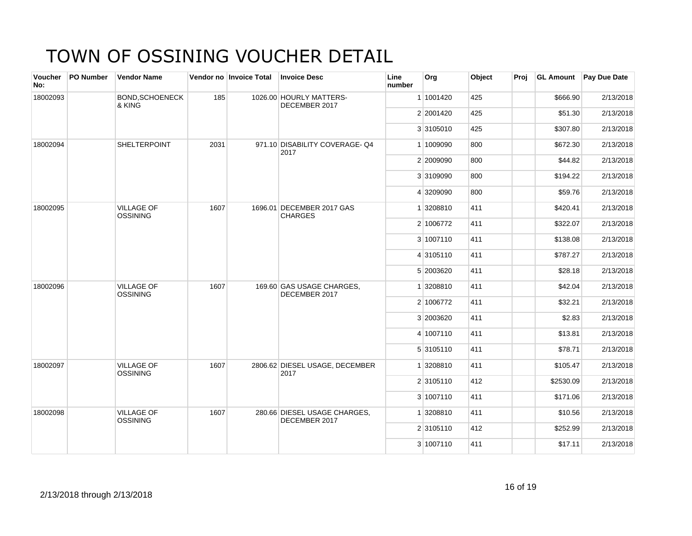| Voucher<br>No: | PO Number       | <b>Vendor Name</b>                   |      | Vendor no Invoice Total | <b>Invoice Desc</b>                           | Line<br>number | Org       | Object | Proj     | <b>GL Amount</b> | Pay Due Date |
|----------------|-----------------|--------------------------------------|------|-------------------------|-----------------------------------------------|----------------|-----------|--------|----------|------------------|--------------|
| 18002093       |                 | <b>BOND, SCHOENECK</b><br>& KING     | 185  |                         | 1026.00 HOURLY MATTERS-<br>DECEMBER 2017      |                | 1 1001420 | 425    |          | \$666.90         | 2/13/2018    |
|                |                 |                                      |      |                         |                                               |                | 2 2001420 | 425    |          | \$51.30          | 2/13/2018    |
|                |                 |                                      |      |                         |                                               |                | 3 3105010 | 425    |          | \$307.80         | 2/13/2018    |
| 18002094       |                 | <b>SHELTERPOINT</b>                  | 2031 |                         | 971.10 DISABILITY COVERAGE-Q4<br>2017         |                | 1 1009090 | 800    |          | \$672.30         | 2/13/2018    |
|                |                 |                                      |      |                         |                                               |                | 2 2009090 | 800    |          | \$44.82          | 2/13/2018    |
|                |                 |                                      |      |                         |                                               |                | 3 3109090 | 800    |          | \$194.22         | 2/13/2018    |
|                |                 |                                      |      |                         |                                               |                | 4 3209090 | 800    |          | \$59.76          | 2/13/2018    |
| 18002095       |                 | <b>VILLAGE OF</b><br><b>OSSINING</b> | 1607 |                         | 1696.01 DECEMBER 2017 GAS<br><b>CHARGES</b>   |                | 1 3208810 | 411    |          | \$420.41         | 2/13/2018    |
|                |                 |                                      |      |                         |                                               | 2 1006772      | 411       |        | \$322.07 | 2/13/2018        |              |
|                |                 |                                      |      |                         |                                               |                | 3 1007110 | 411    |          | \$138.08         | 2/13/2018    |
|                |                 |                                      |      |                         |                                               |                | 4 3105110 | 411    |          | \$787.27         | 2/13/2018    |
|                |                 |                                      |      |                         |                                               |                | 5 2003620 | 411    |          | \$28.18          | 2/13/2018    |
| 18002096       | <b>OSSINING</b> | <b>VILLAGE OF</b>                    | 1607 |                         | 169.60 GAS USAGE CHARGES,<br>DECEMBER 2017    |                | 1 3208810 | 411    |          | \$42.04          | 2/13/2018    |
|                |                 |                                      |      |                         |                                               |                | 2 1006772 | 411    |          | \$32.21          | 2/13/2018    |
|                |                 |                                      |      |                         |                                               |                | 3 2003620 | 411    |          | \$2.83           | 2/13/2018    |
|                |                 |                                      |      |                         |                                               |                | 4 1007110 | 411    |          | \$13.81          | 2/13/2018    |
|                |                 |                                      |      |                         |                                               |                | 5 3105110 | 411    |          | \$78.71          | 2/13/2018    |
| 18002097       |                 | <b>VILLAGE OF</b><br><b>OSSINING</b> | 1607 |                         | 2806.62 DIESEL USAGE, DECEMBER<br>2017        |                | 1 3208810 | 411    |          | \$105.47         | 2/13/2018    |
|                |                 |                                      |      |                         |                                               |                | 2 3105110 | 412    |          | \$2530.09        | 2/13/2018    |
|                |                 |                                      |      |                         |                                               |                | 3 1007110 | 411    |          | \$171.06         | 2/13/2018    |
| 18002098       |                 | <b>VILLAGE OF</b><br><b>OSSINING</b> | 1607 |                         | 280.66 DIESEL USAGE CHARGES,<br>DECEMBER 2017 |                | 1 3208810 | 411    |          | \$10.56          | 2/13/2018    |
|                |                 |                                      |      |                         |                                               |                | 2 3105110 | 412    |          | \$252.99         | 2/13/2018    |
|                |                 |                                      |      |                         |                                               |                | 3 1007110 | 411    |          | \$17.11          | 2/13/2018    |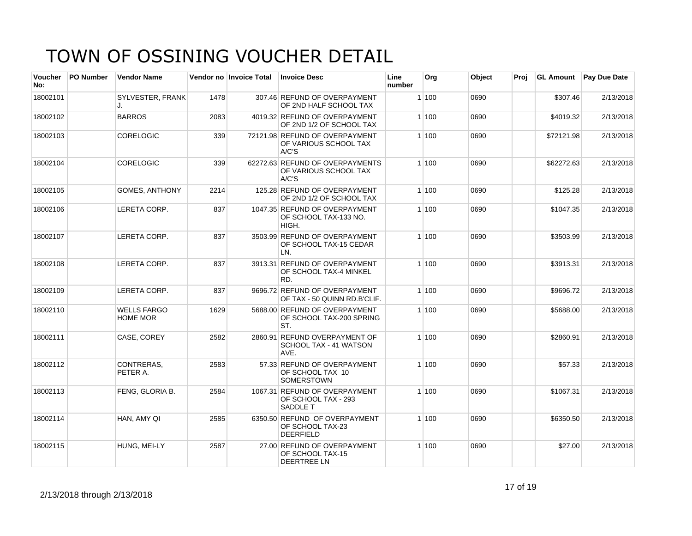| <b>Voucher</b><br>No: | <b>PO Number</b> | <b>Vendor Name</b>                    |      | Vendor no Invoice Total | <b>Invoice Desc</b>                                                     | Line<br>number | Org   | Object | Proj |            | <b>GL Amount</b> Pay Due Date |
|-----------------------|------------------|---------------------------------------|------|-------------------------|-------------------------------------------------------------------------|----------------|-------|--------|------|------------|-------------------------------|
| 18002101              |                  | SYLVESTER, FRANK<br>J.                | 1478 |                         | 307.46 REFUND OF OVERPAYMENT<br>OF 2ND HALF SCHOOL TAX                  |                | 1 100 | 0690   |      | \$307.46   | 2/13/2018                     |
| 18002102              |                  | <b>BARROS</b>                         | 2083 |                         | 4019.32 REFUND OF OVERPAYMENT<br>OF 2ND 1/2 OF SCHOOL TAX               |                | 1 100 | 0690   |      | \$4019.32  | 2/13/2018                     |
| 18002103              |                  | <b>CORELOGIC</b>                      | 339  |                         | 72121.98 REFUND OF OVERPAYMENT<br>OF VARIOUS SCHOOL TAX<br>A/C'S        |                | 1100  | 0690   |      | \$72121.98 | 2/13/2018                     |
| 18002104              |                  | <b>CORELOGIC</b>                      | 339  |                         | 62272.63 REFUND OF OVERPAYMENTS<br>OF VARIOUS SCHOOL TAX<br>A/C'S       |                | 1 100 | 0690   |      | \$62272.63 | 2/13/2018                     |
| 18002105              |                  | <b>GOMES, ANTHONY</b>                 | 2214 |                         | 125.28 REFUND OF OVERPAYMENT<br>OF 2ND 1/2 OF SCHOOL TAX                |                | 1100  | 0690   |      | \$125.28   | 2/13/2018                     |
| 18002106              |                  | LERETA CORP.                          | 837  |                         | 1047.35 REFUND OF OVERPAYMENT<br>OF SCHOOL TAX-133 NO.<br>HIGH.         |                | 1 100 | 0690   |      | \$1047.35  | 2/13/2018                     |
| 18002107              |                  | LERETA CORP.                          | 837  |                         | 3503.99 REFUND OF OVERPAYMENT<br>OF SCHOOL TAX-15 CEDAR<br>LN.          |                | 1 100 | 0690   |      | \$3503.99  | 2/13/2018                     |
| 18002108              |                  | LERETA CORP.                          | 837  |                         | 3913.31 REFUND OF OVERPAYMENT<br>OF SCHOOL TAX-4 MINKEL<br>RD.          |                | 1100  | 0690   |      | \$3913.31  | 2/13/2018                     |
| 18002109              |                  | LERETA CORP.                          | 837  |                         | 9696.72 REFUND OF OVERPAYMENT<br>OF TAX - 50 QUINN RD.B'CLIF.           |                | 1 100 | 0690   |      | \$9696.72  | 2/13/2018                     |
| 18002110              |                  | <b>WELLS FARGO</b><br><b>HOME MOR</b> | 1629 |                         | 5688.00 REFUND OF OVERPAYMENT<br>OF SCHOOL TAX-200 SPRING<br>ST.        |                | 1 100 | 0690   |      | \$5688.00  | 2/13/2018                     |
| 18002111              |                  | CASE, COREY                           | 2582 |                         | 2860.91 REFUND OVERPAYMENT OF<br>SCHOOL TAX - 41 WATSON<br>AVE.         |                | 1100  | 0690   |      | \$2860.91  | 2/13/2018                     |
| 18002112              |                  | CONTRERAS.<br>PETER A.                | 2583 |                         | 57.33 REFUND OF OVERPAYMENT<br>OF SCHOOL TAX 10<br><b>SOMERSTOWN</b>    |                | 1100  | 0690   |      | \$57.33    | 2/13/2018                     |
| 18002113              |                  | FENG, GLORIA B.                       | 2584 |                         | 1067.31 REFUND OF OVERPAYMENT<br>OF SCHOOL TAX - 293<br><b>SADDLE T</b> |                | 1 100 | 0690   |      | \$1067.31  | 2/13/2018                     |
| 18002114              |                  | HAN. AMY QI                           | 2585 |                         | 6350.50 REFUND OF OVERPAYMENT<br>OF SCHOOL TAX-23<br><b>DEERFIELD</b>   |                | 1100  | 0690   |      | \$6350.50  | 2/13/2018                     |
| 18002115              |                  | HUNG, MEI-LY                          | 2587 |                         | 27.00 REFUND OF OVERPAYMENT<br>OF SCHOOL TAX-15<br><b>DEERTREE LN</b>   |                | 1 100 | 0690   |      | \$27.00    | 2/13/2018                     |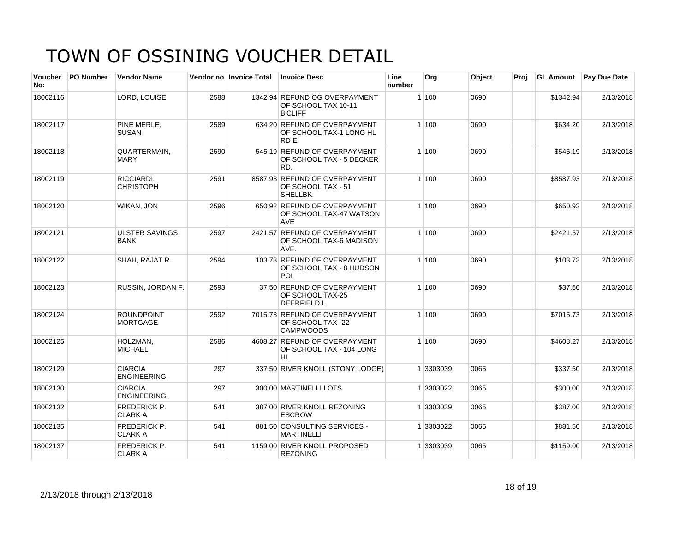| Voucher<br>No: | <b>PO Number</b> | <b>Vendor Name</b>                    |      | Vendor no Invoice Total | <b>Invoice Desc</b>                                                        | Line<br>number | Org       | Object | Proi | <b>GL Amount</b> | <b>Pay Due Date</b> |
|----------------|------------------|---------------------------------------|------|-------------------------|----------------------------------------------------------------------------|----------------|-----------|--------|------|------------------|---------------------|
| 18002116       |                  | LORD, LOUISE                          | 2588 |                         | 1342.94 REFUND OG OVERPAYMENT<br>OF SCHOOL TAX 10-11<br><b>B'CLIFF</b>     |                | 1100      | 0690   |      | \$1342.94        | 2/13/2018           |
| 18002117       |                  | PINE MERLE,<br><b>SUSAN</b>           | 2589 |                         | 634.20 REFUND OF OVERPAYMENT<br>OF SCHOOL TAX-1 LONG HL<br>RD <sub>E</sub> |                | 1100      | 0690   |      | \$634.20         | 2/13/2018           |
| 18002118       |                  | QUARTERMAIN,<br><b>MARY</b>           | 2590 |                         | 545.19 REFUND OF OVERPAYMENT<br>OF SCHOOL TAX - 5 DECKER<br>RD.            |                | 1 100     | 0690   |      | \$545.19         | 2/13/2018           |
| 18002119       |                  | RICCIARDI.<br><b>CHRISTOPH</b>        | 2591 |                         | 8587.93 REFUND OF OVERPAYMENT<br>OF SCHOOL TAX - 51<br>SHELLBK.            |                | 1 100     | 0690   |      | \$8587.93        | 2/13/2018           |
| 18002120       |                  | WIKAN, JON                            | 2596 |                         | 650.92 REFUND OF OVERPAYMENT<br>OF SCHOOL TAX-47 WATSON<br><b>AVE</b>      |                | 1100      | 0690   |      | \$650.92         | 2/13/2018           |
| 18002121       |                  | <b>ULSTER SAVINGS</b><br><b>BANK</b>  | 2597 |                         | 2421.57 REFUND OF OVERPAYMENT<br>OF SCHOOL TAX-6 MADISON<br>AVE.           |                | 1100      | 0690   |      | \$2421.57        | 2/13/2018           |
| 18002122       |                  | SHAH, RAJAT R.                        | 2594 |                         | 103.73 REFUND OF OVERPAYMENT<br>OF SCHOOL TAX - 8 HUDSON<br>POI            |                | 1 100     | 0690   |      | \$103.73         | 2/13/2018           |
| 18002123       |                  | RUSSIN, JORDAN F.                     | 2593 |                         | 37.50 REFUND OF OVERPAYMENT<br>OF SCHOOL TAX-25<br><b>DEERFIELD L</b>      |                | 1 100     | 0690   |      | \$37.50          | 2/13/2018           |
| 18002124       |                  | <b>ROUNDPOINT</b><br><b>MORTGAGE</b>  | 2592 |                         | 7015.73 REFUND OF OVERPAYMENT<br>OF SCHOOL TAX -22<br><b>CAMPWOODS</b>     |                | 1 100     | 0690   |      | \$7015.73        | 2/13/2018           |
| 18002125       |                  | HOLZMAN,<br><b>MICHAEL</b>            | 2586 |                         | 4608.27 REFUND OF OVERPAYMENT<br>OF SCHOOL TAX - 104 LONG<br><b>HL</b>     |                | 1 100     | 0690   |      | \$4608.27        | 2/13/2018           |
| 18002129       |                  | <b>CIARCIA</b><br>ENGINEERING,        | 297  |                         | 337.50 RIVER KNOLL (STONY LODGE)                                           |                | 1 3303039 | 0065   |      | \$337.50         | 2/13/2018           |
| 18002130       |                  | <b>CIARCIA</b><br>ENGINEERING,        | 297  |                         | 300.00 MARTINELLI LOTS                                                     |                | 1 3303022 | 0065   |      | \$300.00         | 2/13/2018           |
| 18002132       |                  | <b>FREDERICK P.</b><br><b>CLARK A</b> | 541  |                         | 387.00 RIVER KNOLL REZONING<br><b>ESCROW</b>                               |                | 1 3303039 | 0065   |      | \$387.00         | 2/13/2018           |
| 18002135       |                  | <b>FREDERICK P.</b><br><b>CLARK A</b> | 541  |                         | 881.50 CONSULTING SERVICES -<br><b>MARTINELLI</b>                          |                | 1 3303022 | 0065   |      | \$881.50         | 2/13/2018           |
| 18002137       |                  | FREDERICK P.<br><b>CLARK A</b>        | 541  |                         | 1159.00 RIVER KNOLL PROPOSED<br><b>REZONING</b>                            |                | 1 3303039 | 0065   |      | \$1159.00        | 2/13/2018           |